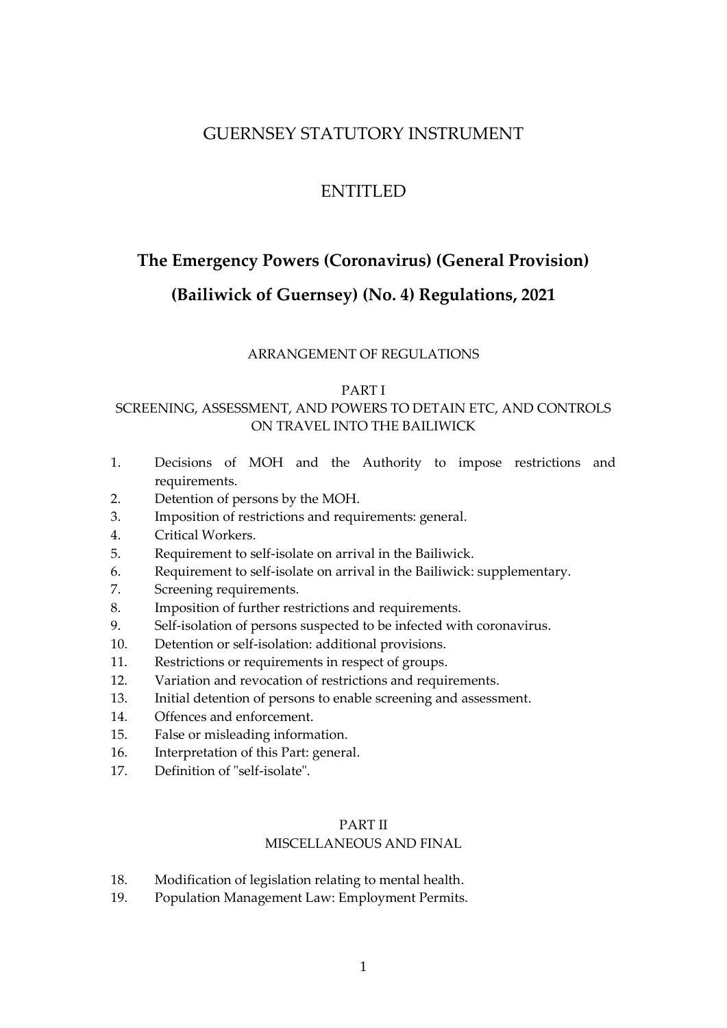# GUERNSEY STATUTORY INSTRUMENT

# ENTITLED

# <span id="page-0-0"></span>**The Emergency Powers (Coronavirus) (General Provision)**

# **(Bailiwick of Guernsey) (No. 4) Regulations, 2021**

# ARRANGEMENT OF REGULATIONS

# [PART I](#page-3-0)

# SCREENING, ASSESSMENT, AND POWERS TO DETAIN ETC, AND CONTROLS ON TRAVEL INTO THE BAILIWICK

- 1. [Decisions of MOH and the Authority to impose restrictions and](#page-3-1)  [requirements.](#page-3-1)
- 2. [Detention of persons by the MOH.](#page-4-0)
- 3. [Imposition of restrictions and requirements: general.](#page-5-0)
- 4. Critical Workers.
- 5. [Requirement to self-isolate on arrival in the Bailiwick.](#page-8-0)
- 6. [Requirement to self-isolate on arrival in the Bailiwick:](#page-8-0) supplementary.
- 7. [Screening requirements.](#page-12-0)
- 8. [Imposition of further restrictions and requirements.](#page-14-0)
- 9. [Self-isolation of persons suspected to be infected with coronavirus.](#page-17-0)
- 10. [Detention or self-isolation: additional provisions.](#page-18-0)
- 11. [Restrictions or requirements in respect of groups.](#page-19-0)
- 12. [Variation and revocation of restrictions and requirements.](#page-21-0)
- 13. Initial [detention of persons to enable screening and assessment.](#page-22-0)
- 14. [Offences and enforcement.](#page-25-0)
- 15. [False or misleading information.](#page-28-0)
- 16. [Interpretation of this Part: general.](#page-30-0)
- 17. [Definition of "self-isolate".](#page-32-0)

# PART II

# MISCELLANEOUS AND FINAL

- 18. [Modification of legislation relating to mental health.](#page-33-0)
- 19. Population Management Law: Employment Permits.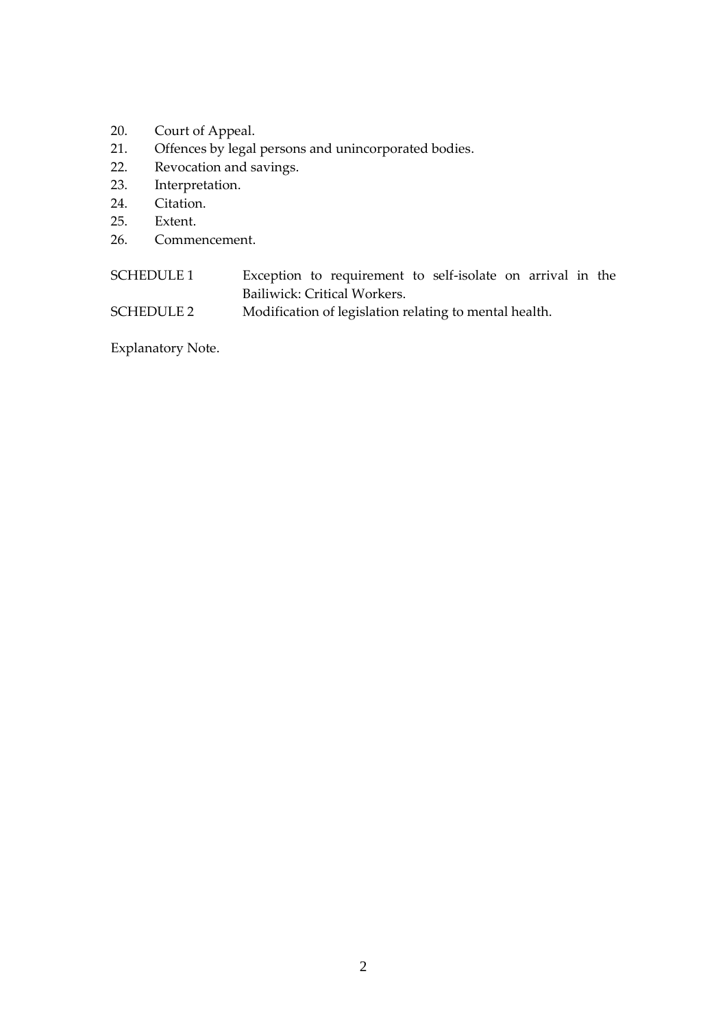- 20. [Court of Appeal.](#page-36-0)
- 21. [Offences by legal persons and unincorporated bodies.](#page-37-0)
- 22. Revocation and savings.
- 23. Interpretation.
- 24. [Citation.](#page-40-0)
- 25. [Extent.](#page-40-1)
- 26. [Commencement.](#page-41-0)

# SCHEDULE 1 Exception to requirement to self-isolate on arrival in the Bailiwick: Critical Workers.

SCHEDULE 2 [Modification of legislation relating to mental health.](#page-55-0)

[Explanatory Note.](#page-58-0)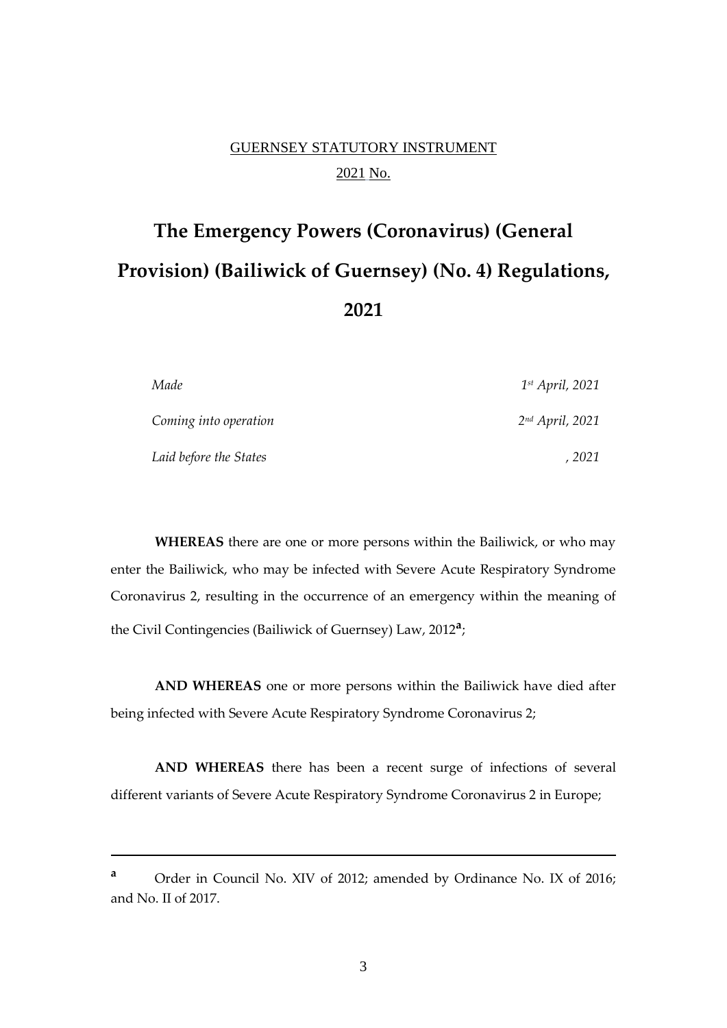# GUERNSEY STATUTORY INSTRUMENT 2021 No.

# **The [Emergency Powers \(Coronavirus\) \(General](#page-0-0)  [Provision\) \(Bailiwick of Guernsey\) \(No. 4\) Regulations,](#page-0-0)  [202](#page-0-0)1**

| Made                   | $1^{st}$ April, 2021 |
|------------------------|----------------------|
| Coming into operation  | $2nd$ April, 2021    |
| Laid before the States | 2021                 |

**WHEREAS** there are one or more persons within the Bailiwick, or who may enter the Bailiwick, who may be infected with Severe Acute Respiratory Syndrome Coronavirus 2, resulting in the occurrence of an emergency within the meaning of the Civil Contingencies (Bailiwick of Guernsey) Law, 2012**<sup>a</sup>** ;

**AND WHEREAS** one or more persons within the Bailiwick have died after being infected with Severe Acute Respiratory Syndrome Coronavirus 2;

**AND WHEREAS** there has been a recent surge of infections of several different variants of Severe Acute Respiratory Syndrome Coronavirus 2 in Europe;

**<sup>a</sup>** Order in Council No. XIV of 2012; amended by Ordinance No. IX of 2016; and No. II of 2017.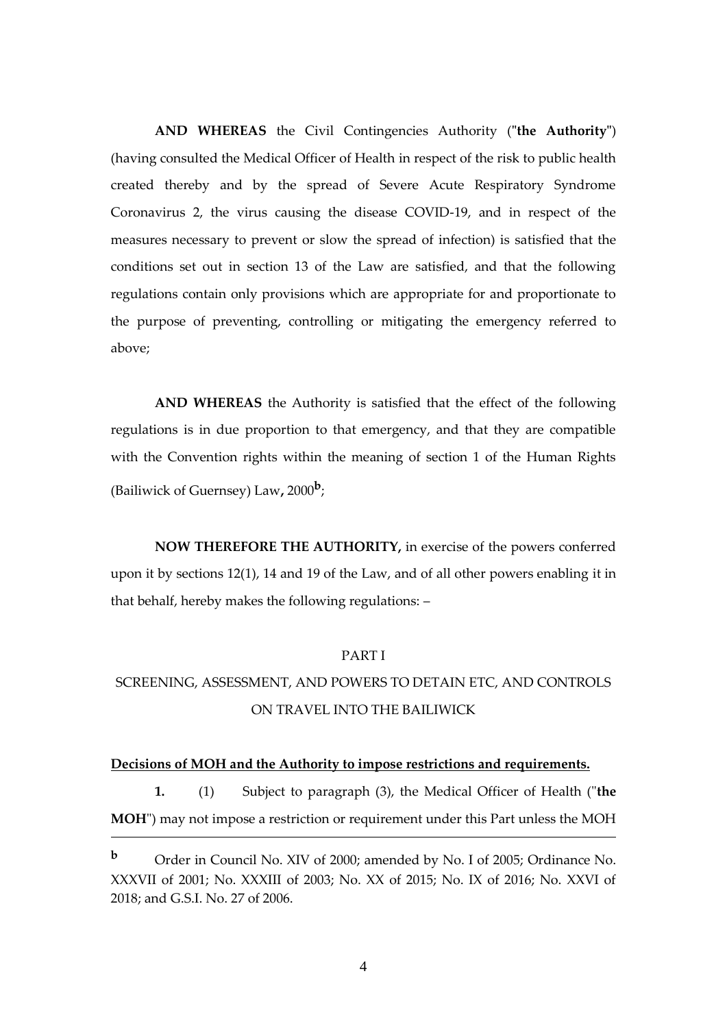**AND WHEREAS** the Civil Contingencies Authority (**"the Authority"**) (having consulted the Medical Officer of Health in respect of the risk to public health created thereby and by the spread of Severe Acute Respiratory Syndrome Coronavirus 2, the virus causing the disease COVID-19, and in respect of the measures necessary to prevent or slow the spread of infection) is satisfied that the conditions set out in section 13 of the Law are satisfied, and that the following regulations contain only provisions which are appropriate for and proportionate to the purpose of preventing, controlling or mitigating the emergency referred to above;

**AND WHEREAS** the Authority is satisfied that the effect of the following regulations is in due proportion to that emergency, and that they are compatible with the Convention rights within the meaning of section 1 of the Human Rights (Bailiwick of Guernsey) Law**,** 2000**<sup>b</sup>** ;

**NOW THEREFORE THE AUTHORITY,** in exercise of the powers conferred upon it by sections 12(1), 14 and 19 of the Law, and of all other powers enabling it in that behalf, hereby makes the following regulations: –

# PART I

# <span id="page-3-0"></span>SCREENING, ASSESSMENT, AND POWERS TO DETAIN ETC, AND CONTROLS ON TRAVEL INTO THE BAILIWICK

#### <span id="page-3-1"></span>**Decisions of MOH and the Authority to impose restrictions and requirements.**

**1.** (1) Subject to paragraph (3), the Medical Officer of Health ("**the MOH**") may not impose a restriction or requirement under this Part unless the MOH <u>.</u>

**<sup>b</sup>** Order in Council No. XIV of 2000; amended by No. I of 2005; Ordinance No. XXXVII of 2001; No. XXXIII of 2003; No. XX of 2015; No. IX of 2016; No. XXVI of 2018; and G.S.I. No. 27 of 2006.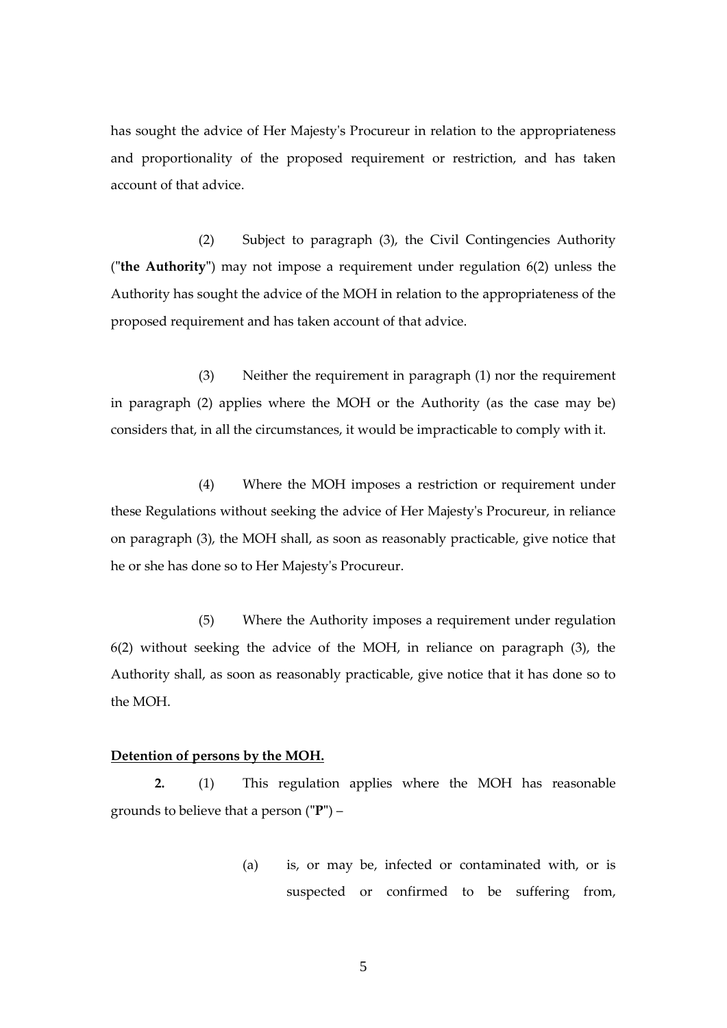has sought the advice of Her Majesty's Procureur in relation to the appropriateness and proportionality of the proposed requirement or restriction, and has taken account of that advice.

(2) Subject to paragraph (3), the Civil Contingencies Authority (**"the Authority"**) may not impose a requirement under regulation 6(2) unless the Authority has sought the advice of the MOH in relation to the appropriateness of the proposed requirement and has taken account of that advice.

(3) Neither the requirement in paragraph (1) nor the requirement in paragraph (2) applies where the MOH or the Authority (as the case may be) considers that, in all the circumstances, it would be impracticable to comply with it.

(4) Where the MOH imposes a restriction or requirement under these Regulations without seeking the advice of Her Majesty's Procureur, in reliance on paragraph (3), the MOH shall, as soon as reasonably practicable, give notice that he or she has done so to Her Majesty's Procureur.

(5) Where the Authority imposes a requirement under regulation 6(2) without seeking the advice of the MOH, in reliance on paragraph (3), the Authority shall, as soon as reasonably practicable, give notice that it has done so to the MOH.

#### <span id="page-4-0"></span>**Detention of persons by the MOH.**

**2.** (1) This regulation applies where the MOH has reasonable grounds to believe that a person (**"P"**) –

> (a) is, or may be, infected or contaminated with, or is suspected or confirmed to be suffering from,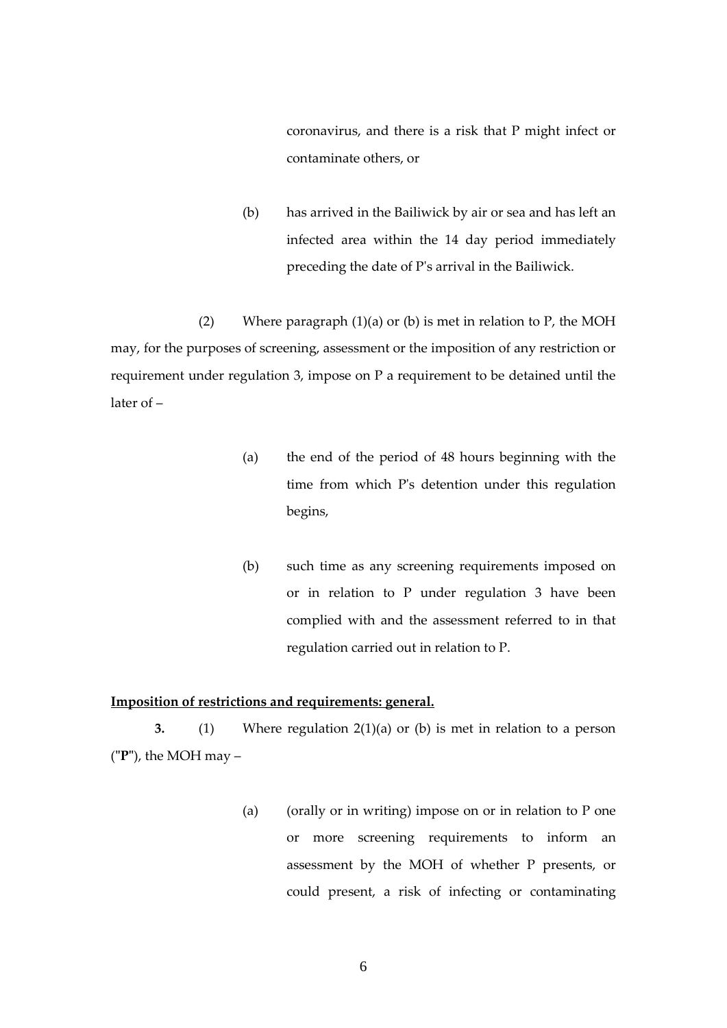coronavirus, and there is a risk that P might infect or contaminate others, or

(b) has arrived in the Bailiwick by air or sea and has left an infected area within the 14 day period immediately preceding the date of P's arrival in the Bailiwick.

(2) Where paragraph  $(1)(a)$  or  $(b)$  is met in relation to P, the MOH may, for the purposes of screening, assessment or the imposition of any restriction or requirement under regulation 3, impose on P a requirement to be detained until the later of –

- (a) the end of the period of 48 hours beginning with the time from which P's detention under this regulation begins,
- (b) such time as any screening requirements imposed on or in relation to P under regulation 3 have been complied with and the assessment referred to in that regulation carried out in relation to P.

# <span id="page-5-0"></span>**Imposition of restrictions and requirements: general.**

**3.** (1) Where regulation 2(1)(a) or (b) is met in relation to a person (**"P"**), the MOH may –

> (a) (orally or in writing) impose on or in relation to  $P$  one or more screening requirements to inform an assessment by the MOH of whether P presents, or could present, a risk of infecting or contaminating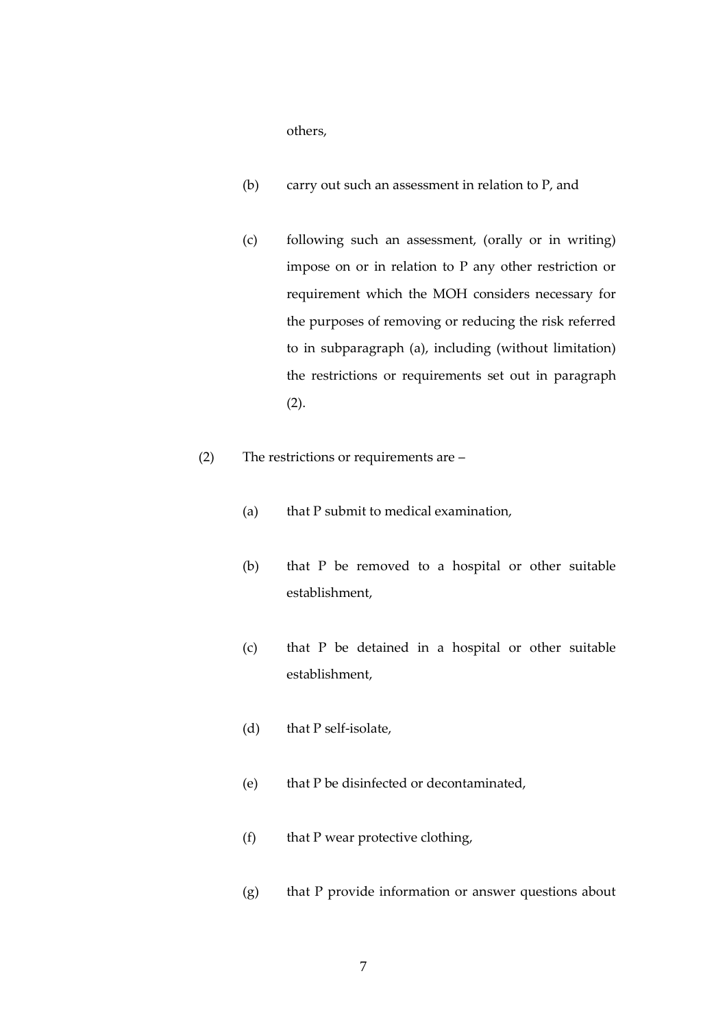others,

- (b) carry out such an assessment in relation to P, and
- (c) following such an assessment, (orally or in writing) impose on or in relation to P any other restriction or requirement which the MOH considers necessary for the purposes of removing or reducing the risk referred to in subparagraph (a), including (without limitation) the restrictions or requirements set out in paragraph (2).
- (2) The restrictions or requirements are
	- (a) that P submit to medical examination,
	- (b) that P be removed to a hospital or other suitable establishment,
	- (c) that P be detained in a hospital or other suitable establishment,
	- (d) that P self-isolate,
	- (e) that P be disinfected or decontaminated,
	- (f) that P wear protective clothing,
	- (g) that P provide information or answer questions about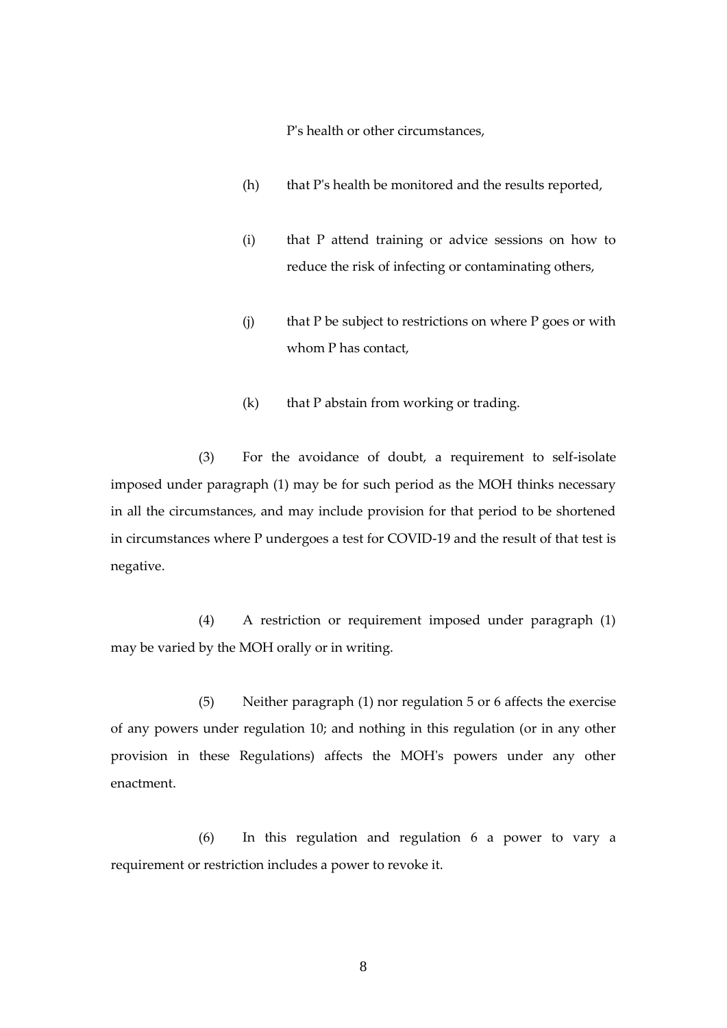P's health or other circumstances,

- (h) that P's health be monitored and the results reported,
- (i) that P attend training or advice sessions on how to reduce the risk of infecting or contaminating others,
- $(i)$  that P be subject to restrictions on where P goes or with whom P has contact,
- (k) that P abstain from working or trading.

 (3) For the avoidance of doubt, a requirement to self-isolate imposed under paragraph (1) may be for such period as the MOH thinks necessary in all the circumstances, and may include provision for that period to be shortened in circumstances where P undergoes a test for COVID-19 and the result of that test is negative.

(4) A restriction or requirement imposed under paragraph (1) may be varied by the MOH orally or in writing.

(5) Neither paragraph (1) nor regulation 5 or 6 affects the exercise of any powers under regulation 10; and nothing in this regulation (or in any other provision in these Regulations) affects the MOH's powers under any other enactment.

(6) In this regulation and regulation 6 a power to vary a requirement or restriction includes a power to revoke it.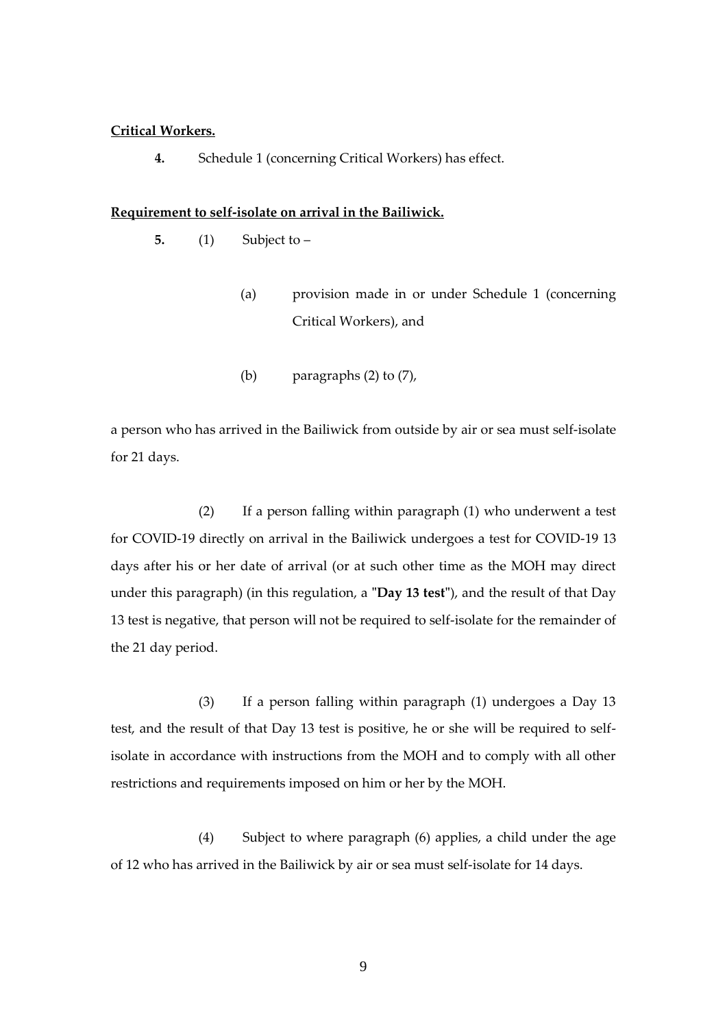#### **Critical Workers.**

**4.** Schedule 1 (concerning Critical Workers) has effect.

#### <span id="page-8-0"></span>**Requirement to self-isolate on arrival in the Bailiwick.**

- **5.** (1) Subject to
	- (a) provision made in or under Schedule 1 (concerning Critical Workers), and
	- (b) paragraphs (2) to (7),

a person who has arrived in the Bailiwick from outside by air or sea must self-isolate for 21 days.

 (2) If a person falling within paragraph (1) who underwent a test for COVID-19 directly on arrival in the Bailiwick undergoes a test for COVID-19 13 days after his or her date of arrival (or at such other time as the MOH may direct under this paragraph) (in this regulation, a **"Day 13 test"**), and the result of that Day 13 test is negative, that person will not be required to self-isolate for the remainder of the 21 day period.

(3) If a person falling within paragraph (1) undergoes a Day 13 test, and the result of that Day 13 test is positive, he or she will be required to selfisolate in accordance with instructions from the MOH and to comply with all other restrictions and requirements imposed on him or her by the MOH.

 (4) Subject to where paragraph (6) applies, a child under the age of 12 who has arrived in the Bailiwick by air or sea must self-isolate for 14 days.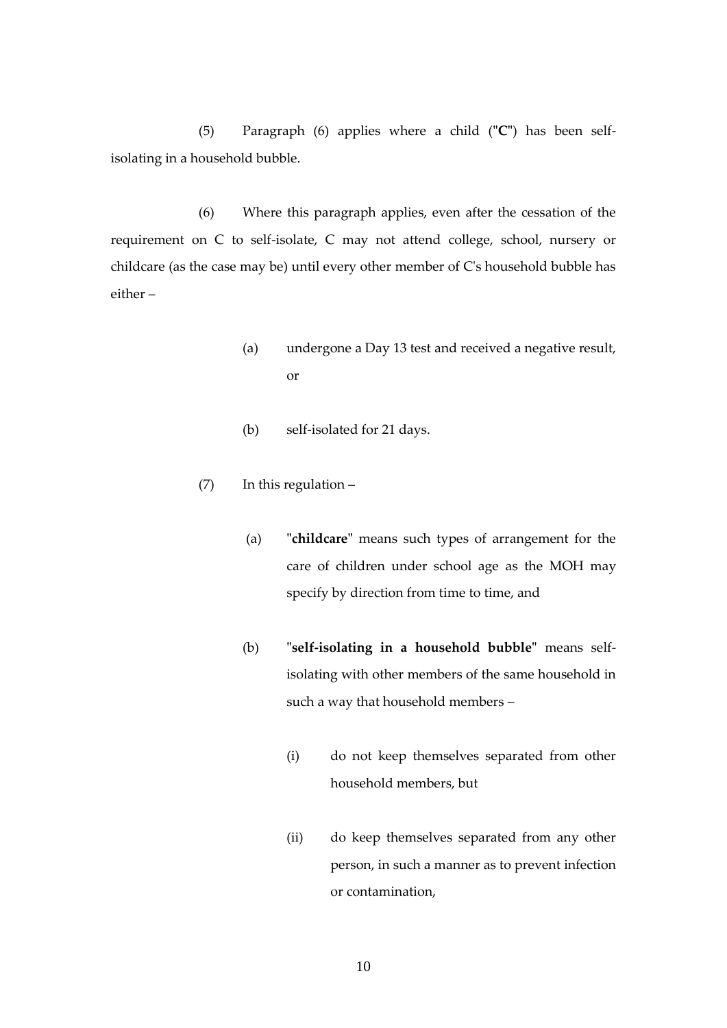(5) Paragraph (6) applies where a child (**"C"**) has been selfisolating in a household bubble.

(6) Where this paragraph applies, even after the cessation of the requirement on C to self-isolate, C may not attend college, school, nursery or childcare (as the case may be) until every other member of C's household bubble has either –

- (a) undergone a Day 13 test and received a negative result, or
- (b) self-isolated for 21 days.
- (7) In this regulation
	- (a) **"childcare"** means such types of arrangement for the care of children under school age as the MOH may specify by direction from time to time, and
	- (b) **"self-isolating in a household bubble"** means selfisolating with other members of the same household in such a way that household members –
		- (i) do not keep themselves separated from other household members, but
		- (ii) do keep themselves separated from any other person, in such a manner as to prevent infection or contamination,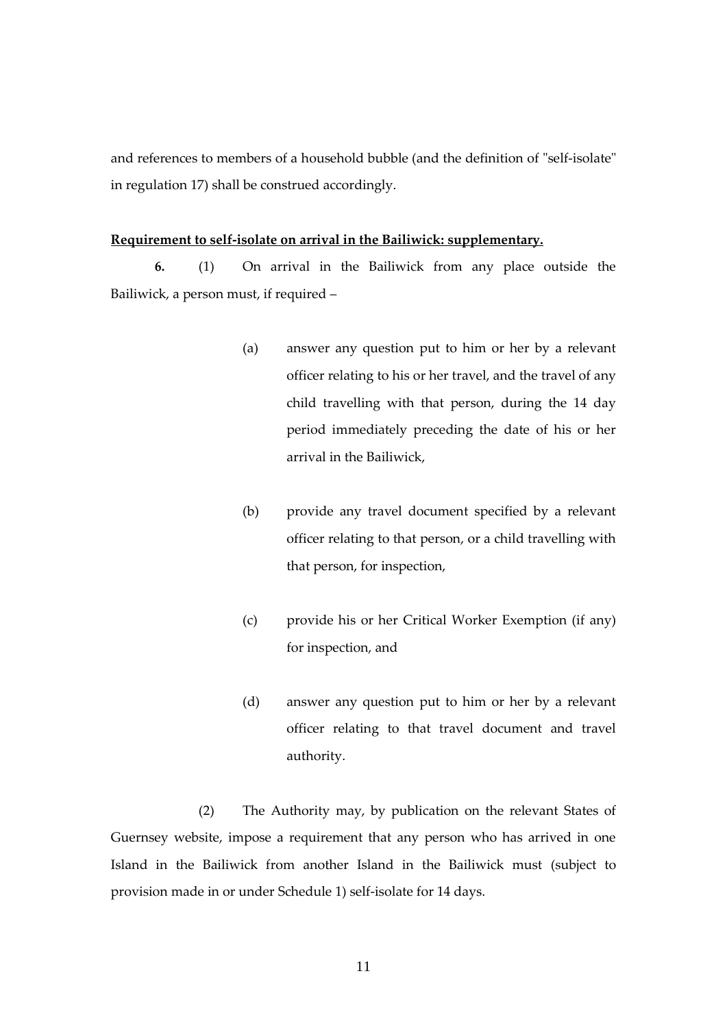and references to members of a household bubble (and the definition of "self-isolate" in regulation 17) shall be construed accordingly.

#### **Requirement to self-isolate on arrival in the Bailiwick: supplementary.**

**6.** (1) On arrival in the Bailiwick from any place outside the Bailiwick, a person must, if required –

- (a) answer any question put to him or her by a relevant officer relating to his or her travel, and the travel of any child travelling with that person, during the 14 day period immediately preceding the date of his or her arrival in the Bailiwick,
- (b) provide any travel document specified by a relevant officer relating to that person, or a child travelling with that person, for inspection,
- (c) provide his or her Critical Worker Exemption (if any) for inspection, and
- (d) answer any question put to him or her by a relevant officer relating to that travel document and travel authority.

(2) The Authority may, by publication on the relevant States of Guernsey website, impose a requirement that any person who has arrived in one Island in the Bailiwick from another Island in the Bailiwick must (subject to provision made in or under Schedule 1) self-isolate for 14 days.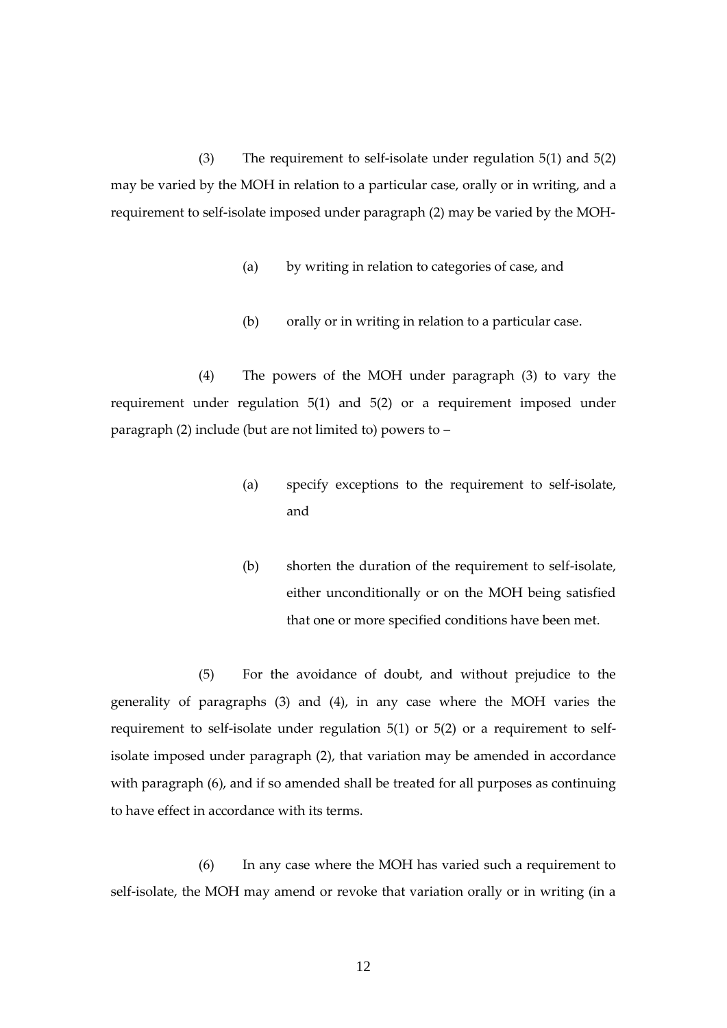(3) The requirement to self-isolate under regulation 5(1) and 5(2) may be varied by the MOH in relation to a particular case, orally or in writing, and a requirement to self-isolate imposed under paragraph (2) may be varied by the MOH-

- (a) by writing in relation to categories of case, and
- (b) orally or in writing in relation to a particular case.

(4) The powers of the MOH under paragraph (3) to vary the requirement under regulation  $5(1)$  and  $5(2)$  or a requirement imposed under paragraph (2) include (but are not limited to) powers to –

- (a) specify exceptions to the requirement to self-isolate, and
- (b) shorten the duration of the requirement to self-isolate, either unconditionally or on the MOH being satisfied that one or more specified conditions have been met.

(5) For the avoidance of doubt, and without prejudice to the generality of paragraphs (3) and (4), in any case where the MOH varies the requirement to self-isolate under regulation 5(1) or 5(2) or a requirement to selfisolate imposed under paragraph (2), that variation may be amended in accordance with paragraph (6), and if so amended shall be treated for all purposes as continuing to have effect in accordance with its terms.

(6) In any case where the MOH has varied such a requirement to self-isolate, the MOH may amend or revoke that variation orally or in writing (in a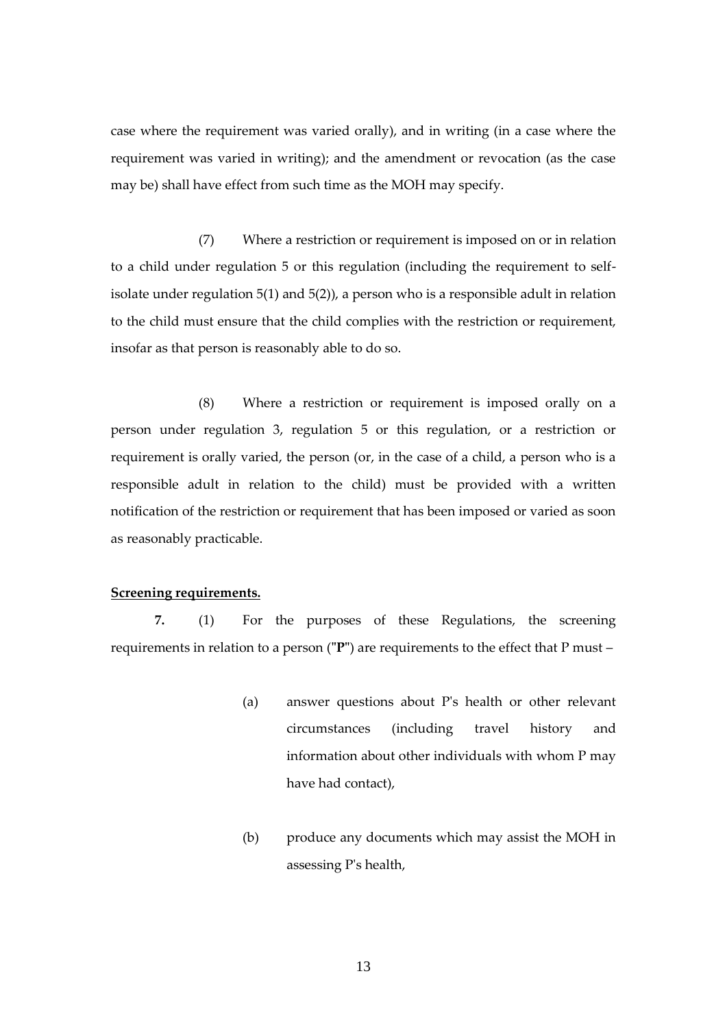case where the requirement was varied orally), and in writing (in a case where the requirement was varied in writing); and the amendment or revocation (as the case may be) shall have effect from such time as the MOH may specify.

(7) Where a restriction or requirement is imposed on or in relation to a child under regulation 5 or this regulation (including the requirement to selfisolate under regulation  $5(1)$  and  $5(2)$ ), a person who is a responsible adult in relation to the child must ensure that the child complies with the restriction or requirement, insofar as that person is reasonably able to do so.

(8) Where a restriction or requirement is imposed orally on a person under regulation 3, regulation 5 or this regulation, or a restriction or requirement is orally varied, the person (or, in the case of a child, a person who is a responsible adult in relation to the child) must be provided with a written notification of the restriction or requirement that has been imposed or varied as soon as reasonably practicable.

# <span id="page-12-0"></span>**Screening requirements.**

**7.** (1) For the purposes of these Regulations, the screening requirements in relation to a person (**"P"**) are requirements to the effect that P must –

- (a) answer questions about P's health or other relevant circumstances (including travel history and information about other individuals with whom P may have had contact),
- (b) produce any documents which may assist the MOH in assessing P's health,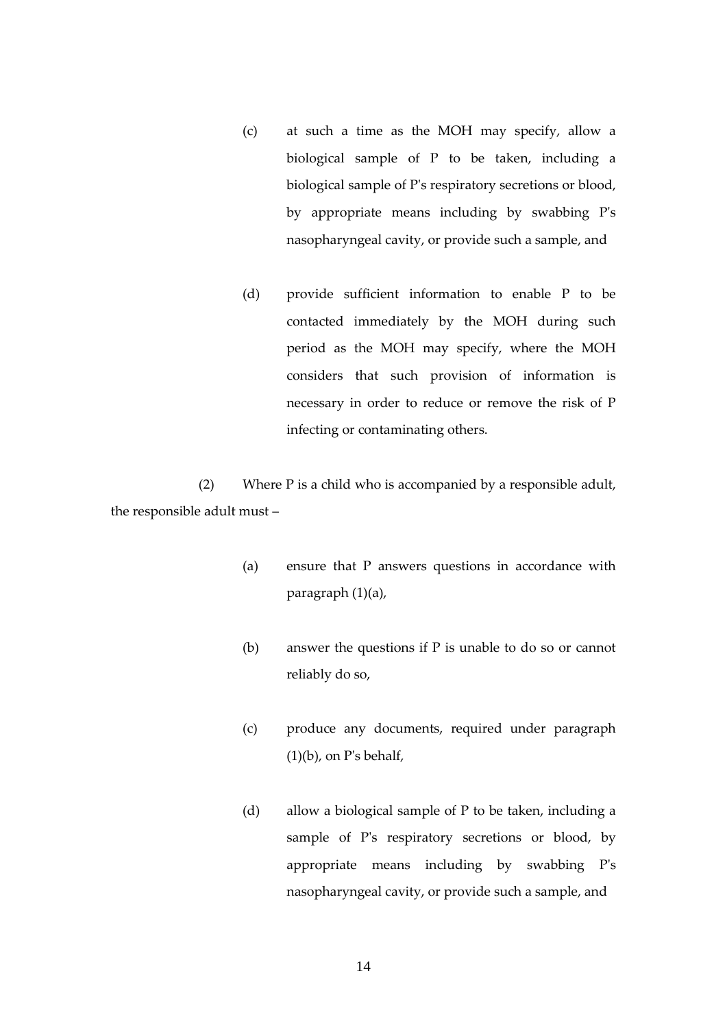- (c) at such a time as the MOH may specify, allow a biological sample of P to be taken, including a biological sample of P's respiratory secretions or blood, by appropriate means including by swabbing P's nasopharyngeal cavity, or provide such a sample, and
- (d) provide sufficient information to enable P to be contacted immediately by the MOH during such period as the MOH may specify, where the MOH considers that such provision of information is necessary in order to reduce or remove the risk of P infecting or contaminating others.

(2) Where P is a child who is accompanied by a responsible adult, the responsible adult must –

- (a) ensure that P answers questions in accordance with paragraph (1)(a),
- (b) answer the questions if P is unable to do so or cannot reliably do so,
- (c) produce any documents, required under paragraph  $(1)(b)$ , on P's behalf,
- (d) allow a biological sample of P to be taken, including a sample of P's respiratory secretions or blood, by appropriate means including by swabbing P's nasopharyngeal cavity, or provide such a sample, and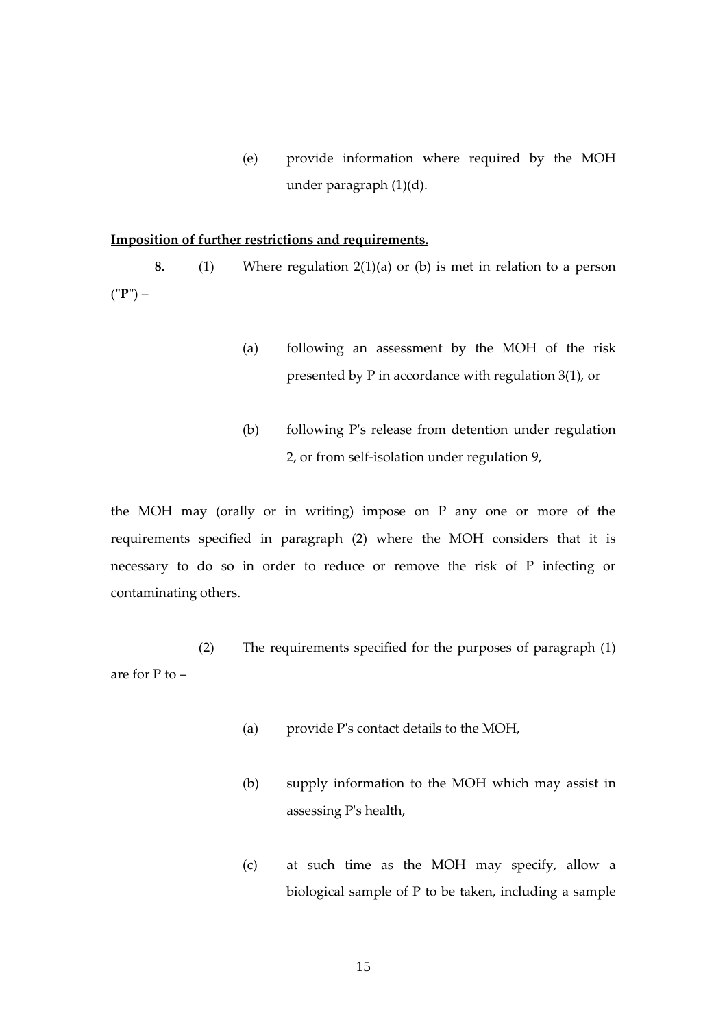(e) provide information where required by the MOH under paragraph (1)(d).

# <span id="page-14-0"></span>**Imposition of further restrictions and requirements.**

**8.** (1) Where regulation 2(1)(a) or (b) is met in relation to a person (**"P"**) –

- (a) following an assessment by the MOH of the risk presented by P in accordance with regulation 3(1), or
- (b) following P's release from detention under regulation 2, or from self-isolation under regulation 9,

the MOH may (orally or in writing) impose on P any one or more of the requirements specified in paragraph (2) where the MOH considers that it is necessary to do so in order to reduce or remove the risk of P infecting or contaminating others.

(2) The requirements specified for the purposes of paragraph (1) are for P to –

- (a) provide P's contact details to the MOH,
- (b) supply information to the MOH which may assist in assessing P's health,
- (c) at such time as the MOH may specify, allow a biological sample of P to be taken, including a sample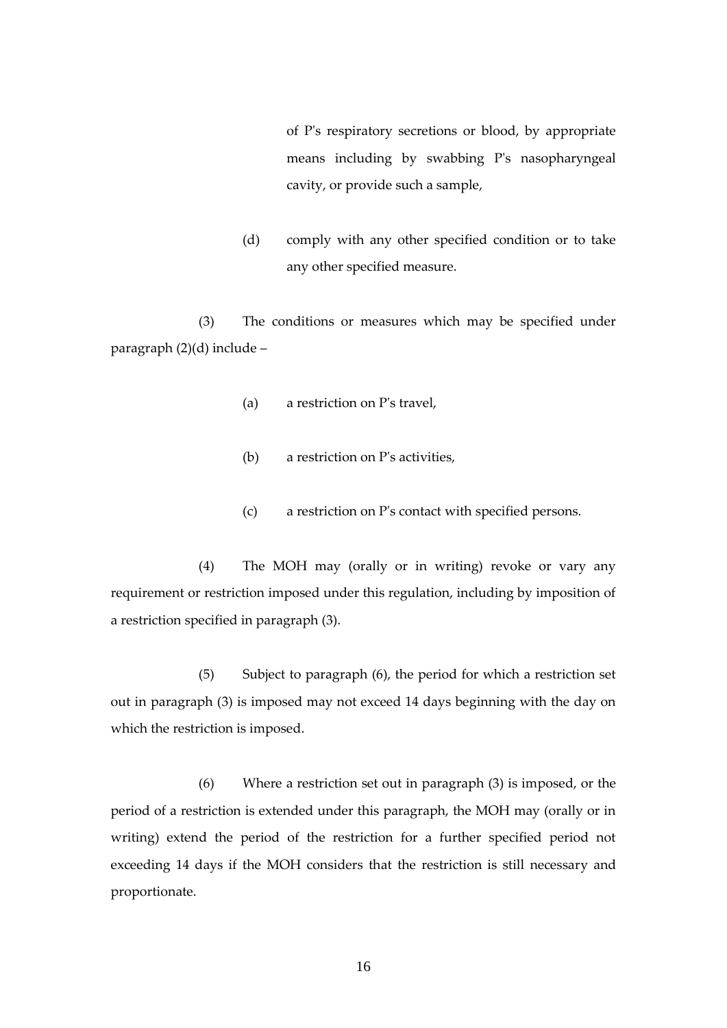of P's respiratory secretions or blood, by appropriate means including by swabbing P's nasopharyngeal cavity, or provide such a sample,

(d) comply with any other specified condition or to take any other specified measure.

(3) The conditions or measures which may be specified under paragraph (2)(d) include –

- (a) a restriction on P's travel,
- (b) a restriction on P's activities,
- (c) a restriction on P's contact with specified persons.

(4) The MOH may (orally or in writing) revoke or vary any requirement or restriction imposed under this regulation, including by imposition of a restriction specified in paragraph (3).

(5) Subject to paragraph (6), the period for which a restriction set out in paragraph (3) is imposed may not exceed 14 days beginning with the day on which the restriction is imposed.

(6) Where a restriction set out in paragraph (3) is imposed, or the period of a restriction is extended under this paragraph, the MOH may (orally or in writing) extend the period of the restriction for a further specified period not exceeding 14 days if the MOH considers that the restriction is still necessary and proportionate.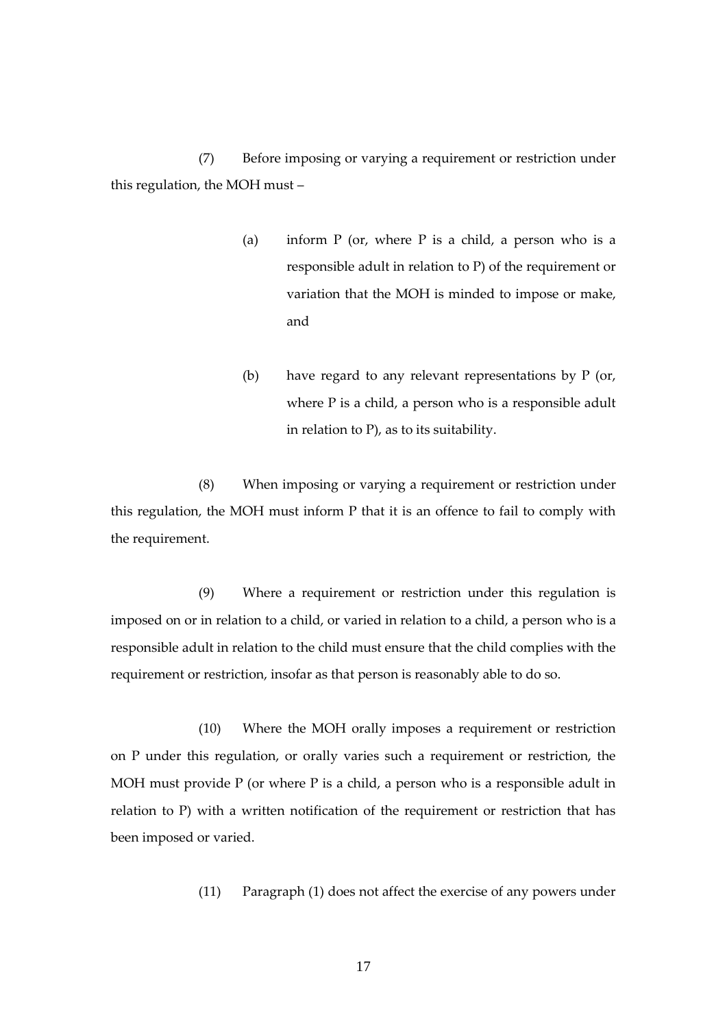(7) Before imposing or varying a requirement or restriction under this regulation, the MOH must –

- (a) inform  $P$  (or, where  $P$  is a child, a person who is a responsible adult in relation to P) of the requirement or variation that the MOH is minded to impose or make, and
- (b) have regard to any relevant representations by P (or, where P is a child, a person who is a responsible adult in relation to P), as to its suitability.

(8) When imposing or varying a requirement or restriction under this regulation, the MOH must inform P that it is an offence to fail to comply with the requirement.

(9) Where a requirement or restriction under this regulation is imposed on or in relation to a child, or varied in relation to a child, a person who is a responsible adult in relation to the child must ensure that the child complies with the requirement or restriction, insofar as that person is reasonably able to do so.

(10) Where the MOH orally imposes a requirement or restriction on P under this regulation, or orally varies such a requirement or restriction, the MOH must provide P (or where P is a child, a person who is a responsible adult in relation to P) with a written notification of the requirement or restriction that has been imposed or varied.

(11) Paragraph (1) does not affect the exercise of any powers under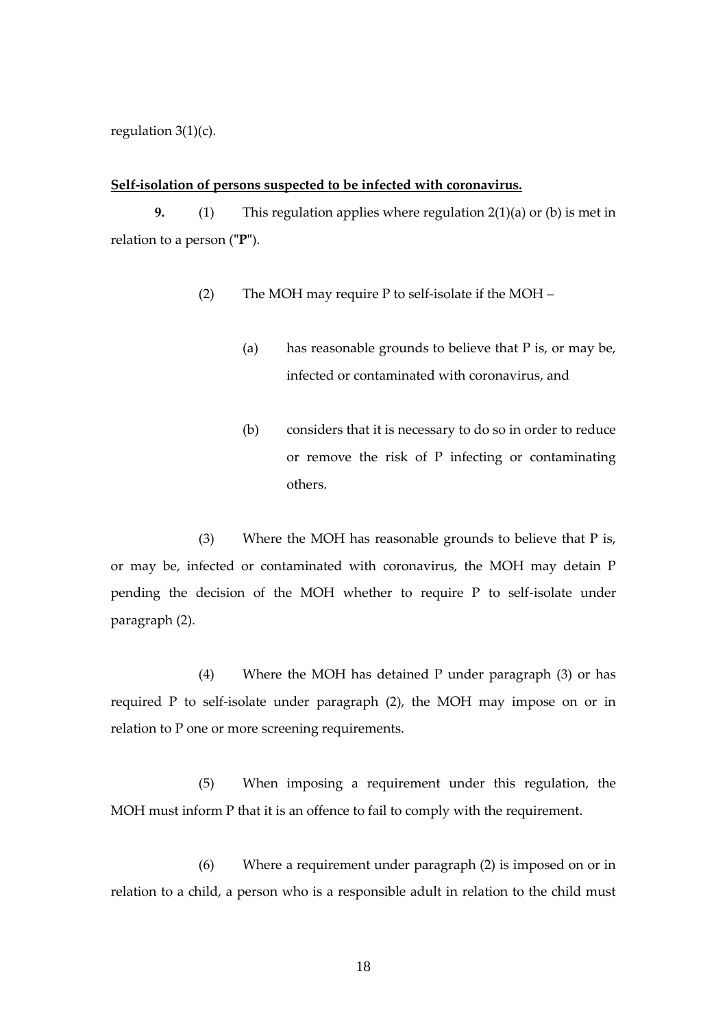regulation  $3(1)(c)$ .

#### <span id="page-17-0"></span>**Self-isolation of persons suspected to be infected with coronavirus.**

**9.** (1) This regulation applies where regulation 2(1)(a) or (b) is met in relation to a person (**"P"**).

- (2) The MOH may require P to self-isolate if the MOH
	- (a) has reasonable grounds to believe that P is, or may be, infected or contaminated with coronavirus, and
	- (b) considers that it is necessary to do so in order to reduce or remove the risk of P infecting or contaminating others.

(3) Where the MOH has reasonable grounds to believe that P is, or may be, infected or contaminated with coronavirus, the MOH may detain P pending the decision of the MOH whether to require P to self-isolate under paragraph (2).

(4) Where the MOH has detained P under paragraph (3) or has required P to self-isolate under paragraph (2), the MOH may impose on or in relation to P one or more screening requirements.

(5) When imposing a requirement under this regulation, the MOH must inform P that it is an offence to fail to comply with the requirement.

(6) Where a requirement under paragraph (2) is imposed on or in relation to a child, a person who is a responsible adult in relation to the child must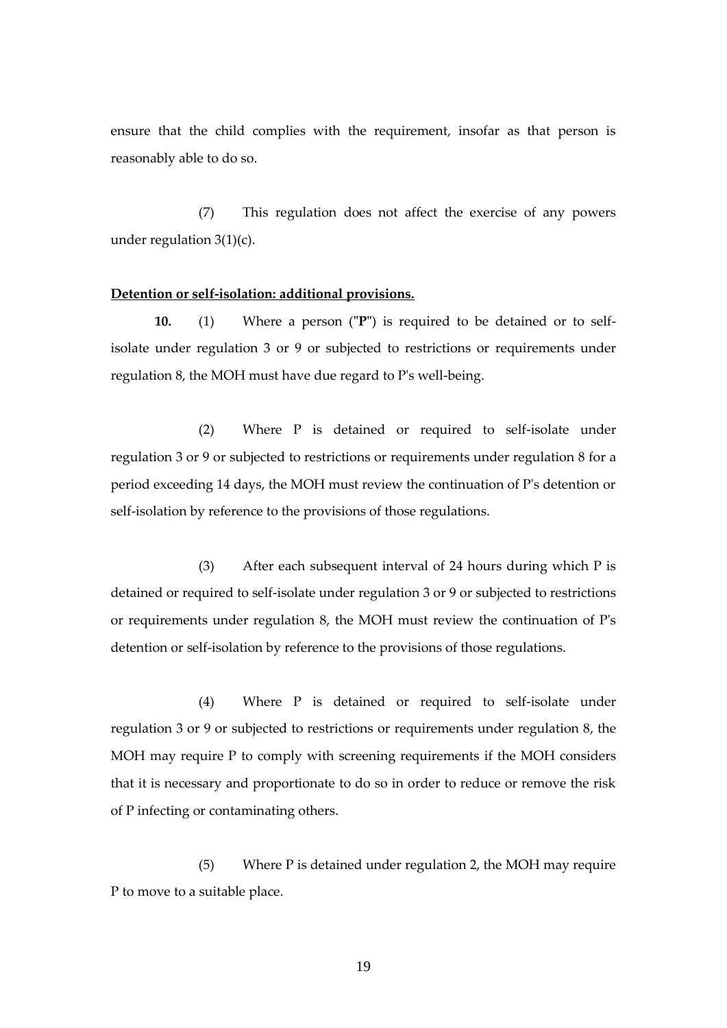ensure that the child complies with the requirement, insofar as that person is reasonably able to do so.

(7) This regulation does not affect the exercise of any powers under regulation 3(1)(c).

#### <span id="page-18-0"></span>**Detention or self-isolation: additional provisions.**

**10.** (1) Where a person (**"P"**) is required to be detained or to selfisolate under regulation 3 or 9 or subjected to restrictions or requirements under regulation 8, the MOH must have due regard to P's well-being.

(2) Where P is detained or required to self-isolate under regulation 3 or 9 or subjected to restrictions or requirements under regulation 8 for a period exceeding 14 days, the MOH must review the continuation of P's detention or self-isolation by reference to the provisions of those regulations.

(3) After each subsequent interval of 24 hours during which P is detained or required to self-isolate under regulation 3 or 9 or subjected to restrictions or requirements under regulation 8, the MOH must review the continuation of P's detention or self-isolation by reference to the provisions of those regulations.

(4) Where P is detained or required to self-isolate under regulation 3 or 9 or subjected to restrictions or requirements under regulation 8, the MOH may require P to comply with screening requirements if the MOH considers that it is necessary and proportionate to do so in order to reduce or remove the risk of P infecting or contaminating others.

(5) Where P is detained under regulation 2, the MOH may require P to move to a suitable place.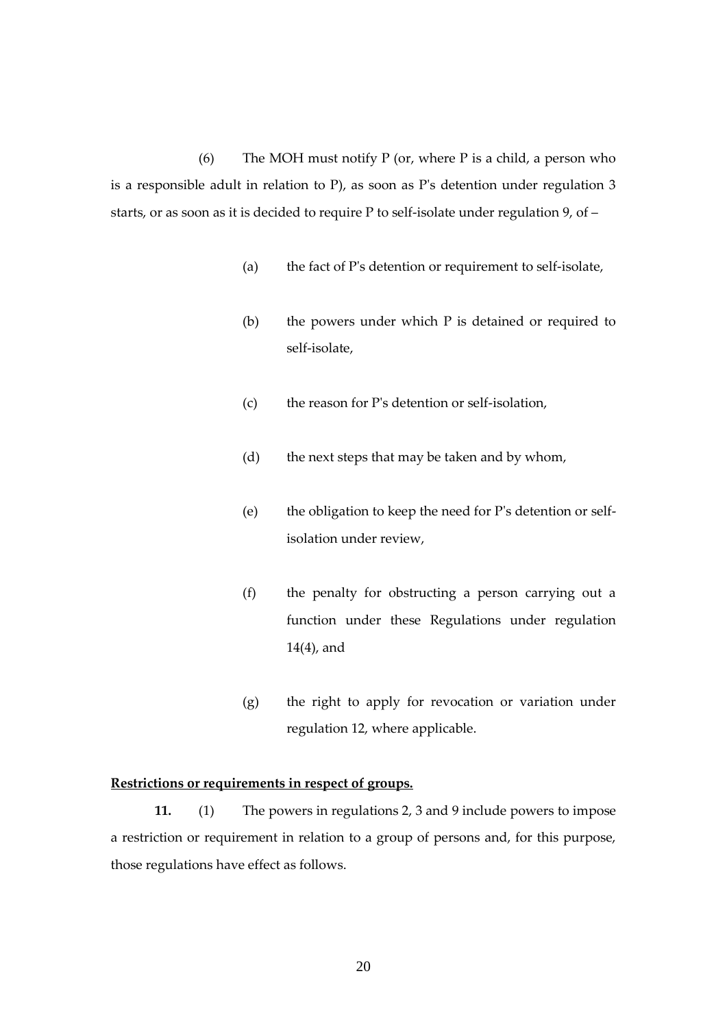(6) The MOH must notify  $P$  (or, where  $P$  is a child, a person who is a responsible adult in relation to P), as soon as P's detention under regulation 3 starts, or as soon as it is decided to require P to self-isolate under regulation 9, of –

- (a) the fact of P's detention or requirement to self-isolate,
- (b) the powers under which P is detained or required to self-isolate,
- (c) the reason for P's detention or self-isolation,
- (d) the next steps that may be taken and by whom,
- (e) the obligation to keep the need for P's detention or selfisolation under review,
- (f) the penalty for obstructing a person carrying out a function under these Regulations under regulation 14(4), and
- (g) the right to apply for revocation or variation under regulation 12, where applicable.

## <span id="page-19-0"></span>**Restrictions or requirements in respect of groups.**

**11.** (1) The powers in regulations 2, 3 and 9 include powers to impose a restriction or requirement in relation to a group of persons and, for this purpose, those regulations have effect as follows.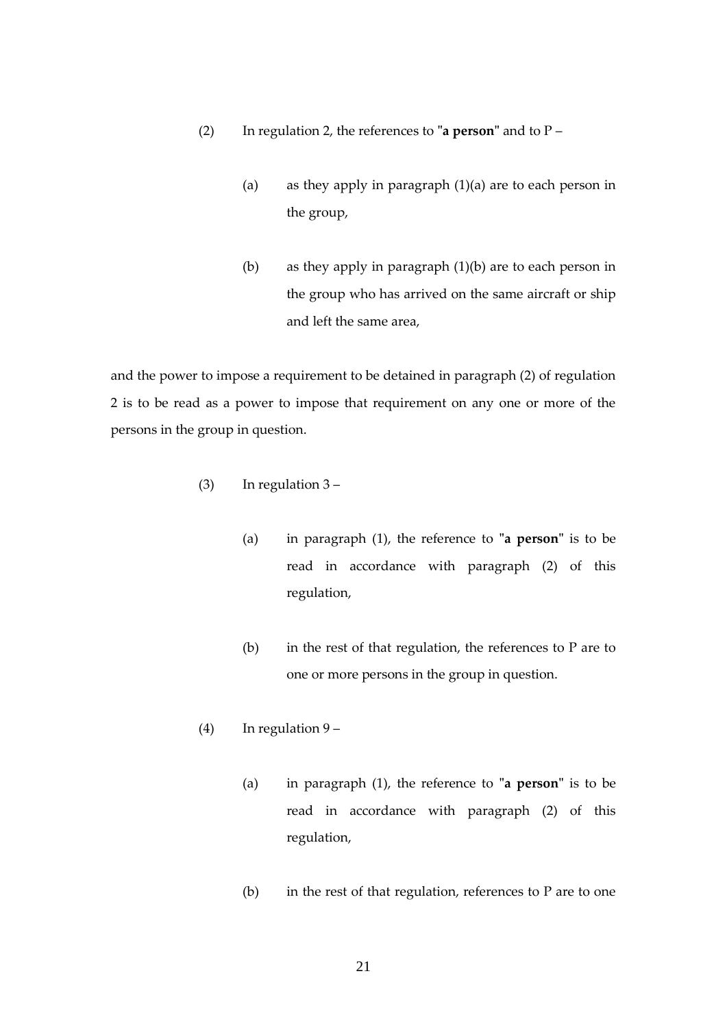- (2) In regulation 2, the references to **"a person"** and to P
	- (a) as they apply in paragraph  $(1)(a)$  are to each person in the group,
	- (b) as they apply in paragraph (1)(b) are to each person in the group who has arrived on the same aircraft or ship and left the same area,

and the power to impose a requirement to be detained in paragraph (2) of regulation 2 is to be read as a power to impose that requirement on any one or more of the persons in the group in question.

- (3) In regulation 3
	- (a) in paragraph (1), the reference to **"a person"** is to be read in accordance with paragraph (2) of this regulation,
	- (b) in the rest of that regulation, the references to P are to one or more persons in the group in question.
- (4) In regulation  $9 -$ 
	- (a) in paragraph (1), the reference to **"a person"** is to be read in accordance with paragraph (2) of this regulation,
	- (b) in the rest of that regulation, references to  $P$  are to one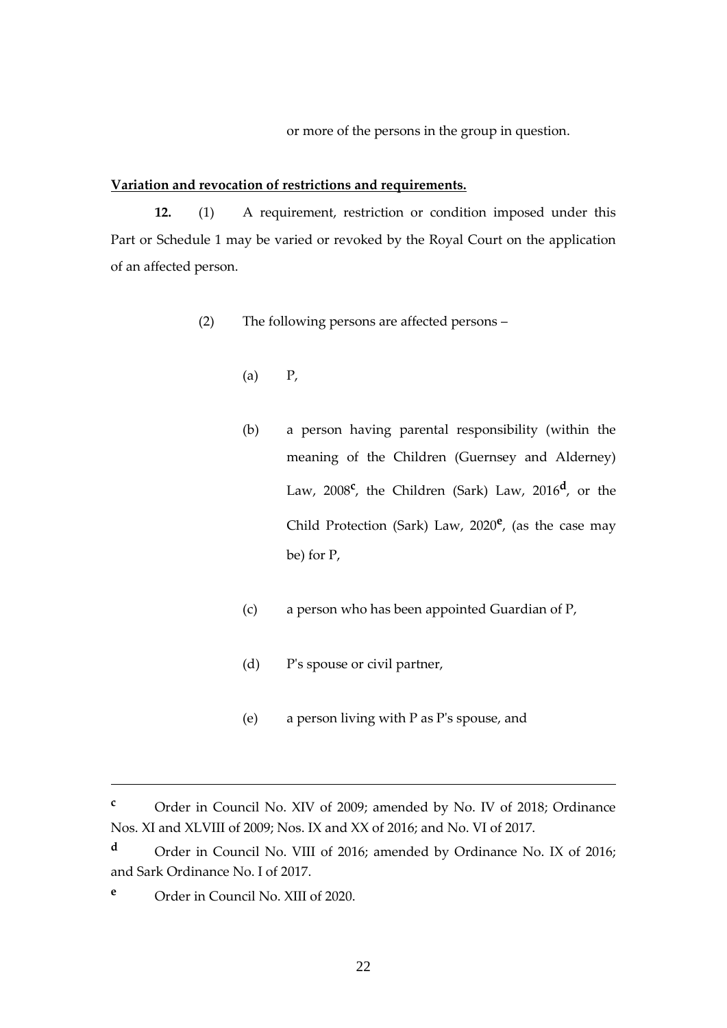or more of the persons in the group in question.

#### <span id="page-21-0"></span>**Variation and revocation of restrictions and requirements.**

**12.** (1) A requirement, restriction or condition imposed under this Part or Schedule 1 may be varied or revoked by the Royal Court on the application of an affected person.

- (2) The following persons are affected persons
	- $(a)$   $P$ ,
	- (b) a person having parental responsibility (within the meaning of the Children (Guernsey and Alderney) Law, 2008**<sup>c</sup>** , the Children (Sark) Law, 2016**<sup>d</sup>** , or the Child Protection (Sark) Law, 2020**<sup>e</sup>** , (as the case may be) for P,
	- (c) a person who has been appointed Guardian of P,
	- (d) P's spouse or civil partner,
	- (e) a person living with P as P's spouse, and

**<sup>c</sup>** Order in Council No. XIV of 2009; amended by No. IV of 2018; Ordinance Nos. XI and XLVIII of 2009; Nos. IX and XX of 2016; and No. VI of 2017.

**<sup>d</sup>** Order in Council No. VIII of 2016; amended by Ordinance No. IX of 2016; and Sark Ordinance No. I of 2017.

**<sup>e</sup>** Order in Council No. XIII of 2020.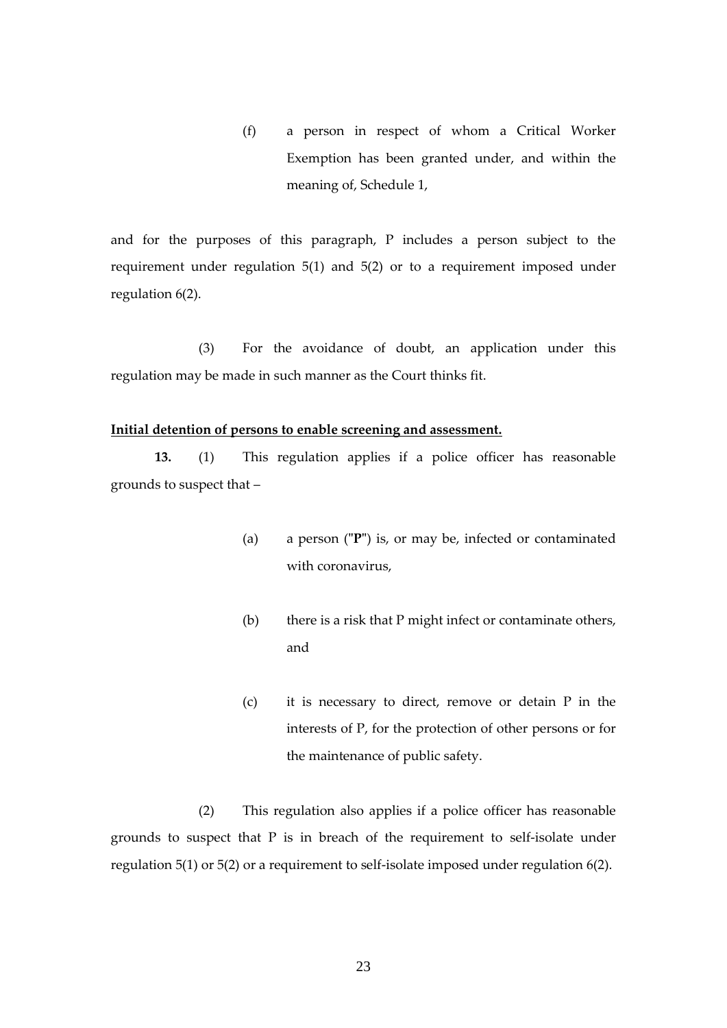(f) a person in respect of whom a Critical Worker Exemption has been granted under, and within the meaning of, Schedule 1,

and for the purposes of this paragraph, P includes a person subject to the requirement under regulation 5(1) and 5(2) or to a requirement imposed under regulation 6(2).

(3) For the avoidance of doubt, an application under this regulation may be made in such manner as the Court thinks fit.

## **Initial detention of persons to enable screening and assessment.**

**13.** (1) This regulation applies if a police officer has reasonable grounds to suspect that –

- <span id="page-22-0"></span>(a) a person (**"P"**) is, or may be, infected or contaminated with coronavirus,
- (b) there is a risk that P might infect or contaminate others, and
- (c) it is necessary to direct, remove or detain P in the interests of P, for the protection of other persons or for the maintenance of public safety.

(2) This regulation also applies if a police officer has reasonable grounds to suspect that P is in breach of the requirement to self-isolate under regulation 5(1) or 5(2) or a requirement to self-isolate imposed under regulation 6(2).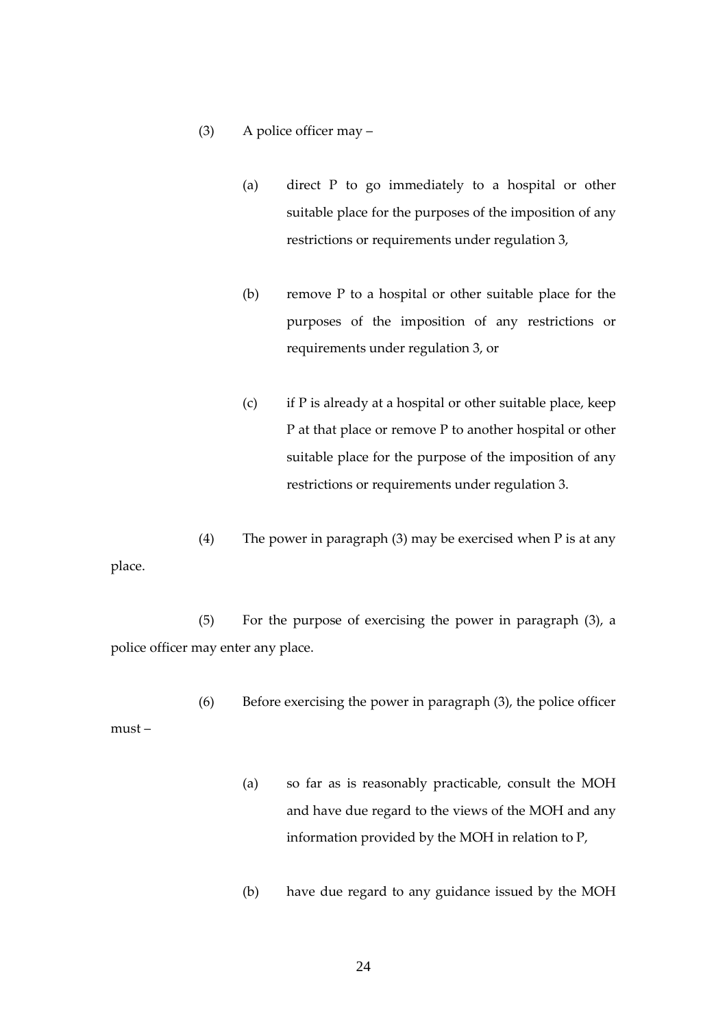## (3) A police officer may –

- (a) direct P to go immediately to a hospital or other suitable place for the purposes of the imposition of any restrictions or requirements under regulation 3,
- (b) remove P to a hospital or other suitable place for the purposes of the imposition of any restrictions or requirements under regulation 3, or
- (c) if P is already at a hospital or other suitable place, keep P at that place or remove P to another hospital or other suitable place for the purpose of the imposition of any restrictions or requirements under regulation 3.
- (4) The power in paragraph (3) may be exercised when  $P$  is at any place.

(5) For the purpose of exercising the power in paragraph (3), a police officer may enter any place.

(6) Before exercising the power in paragraph (3), the police officer must –

- (a) so far as is reasonably practicable, consult the MOH and have due regard to the views of the MOH and any information provided by the MOH in relation to P,
- (b) have due regard to any guidance issued by the MOH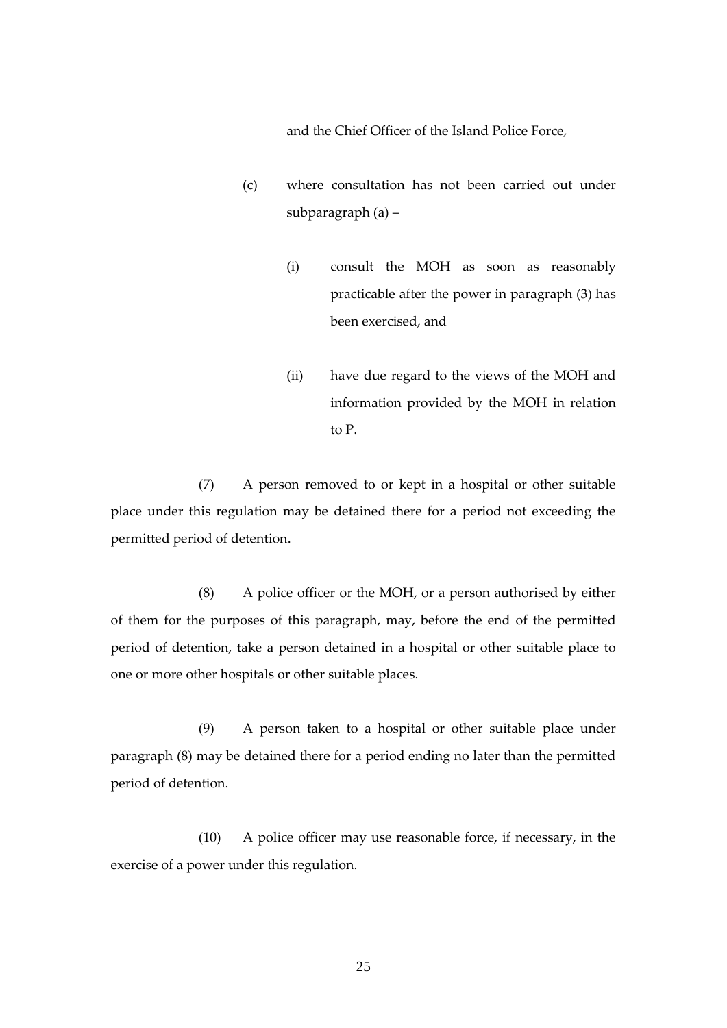and the Chief Officer of the Island Police Force,

- (c) where consultation has not been carried out under subparagraph (a) –
	- (i) consult the MOH as soon as reasonably practicable after the power in paragraph (3) has been exercised, and
	- (ii) have due regard to the views of the MOH and information provided by the MOH in relation to P.

(7) A person removed to or kept in a hospital or other suitable place under this regulation may be detained there for a period not exceeding the permitted period of detention.

(8) A police officer or the MOH, or a person authorised by either of them for the purposes of this paragraph, may, before the end of the permitted period of detention, take a person detained in a hospital or other suitable place to one or more other hospitals or other suitable places.

(9) A person taken to a hospital or other suitable place under paragraph (8) may be detained there for a period ending no later than the permitted period of detention.

(10) A police officer may use reasonable force, if necessary, in the exercise of a power under this regulation.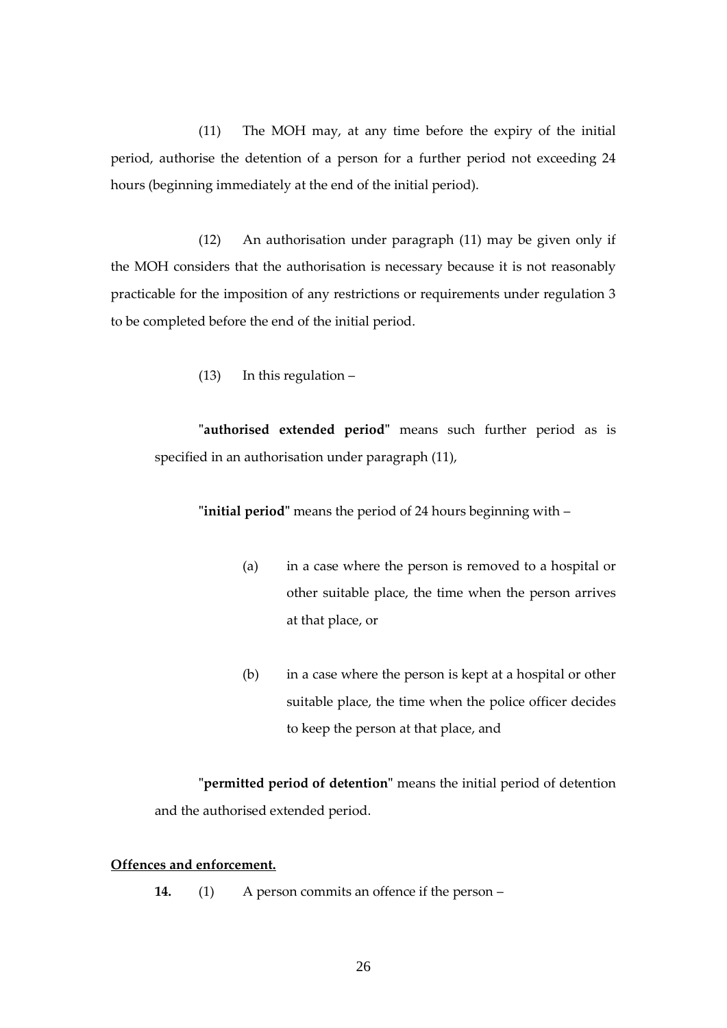(11) The MOH may, at any time before the expiry of the initial period, authorise the detention of a person for a further period not exceeding 24 hours (beginning immediately at the end of the initial period).

(12) An authorisation under paragraph (11) may be given only if the MOH considers that the authorisation is necessary because it is not reasonably practicable for the imposition of any restrictions or requirements under regulation 3 to be completed before the end of the initial period.

(13) In this regulation –

**"authorised extended period"** means such further period as is specified in an authorisation under paragraph (11),

**"initial period"** means the period of 24 hours beginning with –

- (a) in a case where the person is removed to a hospital or other suitable place, the time when the person arrives at that place, or
- (b) in a case where the person is kept at a hospital or other suitable place, the time when the police officer decides to keep the person at that place, and

**"permitted period of detention"** means the initial period of detention and the authorised extended period.

# <span id="page-25-0"></span>**Offences and enforcement.**

**14.** (1) A person commits an offence if the person –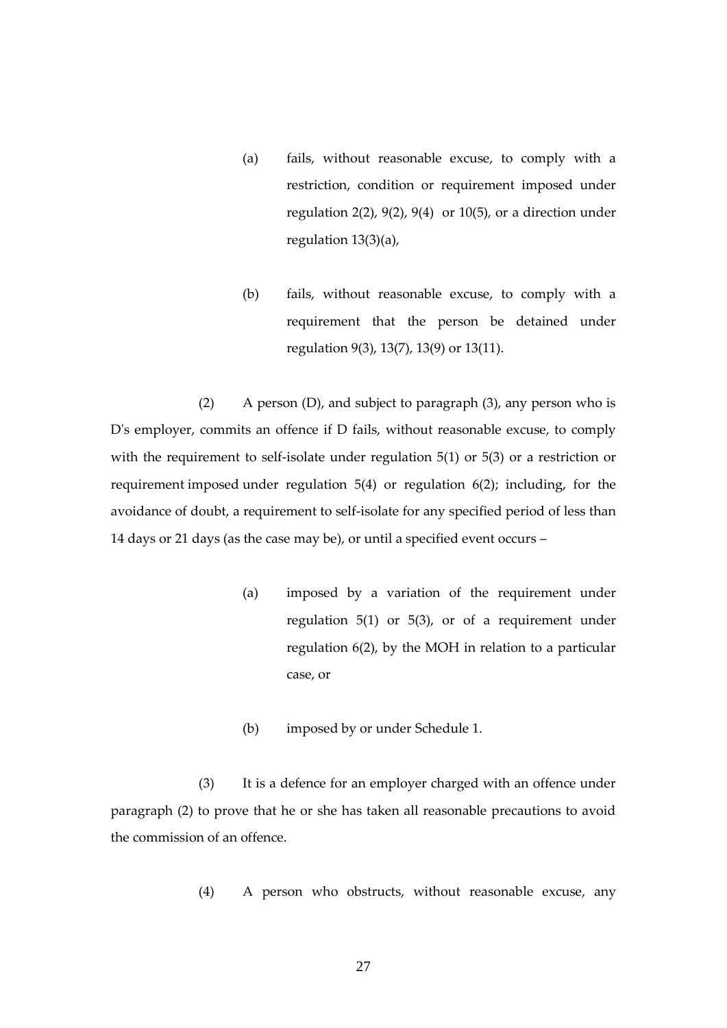- (a) fails, without reasonable excuse, to comply with a restriction, condition or requirement imposed under regulation 2(2), 9(2), 9(4) or 10(5), or a direction under regulation 13(3)(a),
- (b) fails, without reasonable excuse, to comply with a requirement that the person be detained under regulation 9(3), 13(7), 13(9) or 13(11).

(2) A person (D), and subject to paragraph (3), any person who is D's employer, commits an offence if D fails, without reasonable excuse, to comply with the requirement to self-isolate under regulation 5(1) or 5(3) or a restriction or requirement imposed under regulation 5(4) or regulation 6(2); including, for the avoidance of doubt, a requirement to self-isolate for any specified period of less than 14 days or 21 days (as the case may be), or until a specified event occurs –

- (a) imposed by a variation of the requirement under regulation 5(1) or 5(3), or of a requirement under regulation 6(2), by the MOH in relation to a particular case, or
- (b) imposed by or under Schedule 1.

(3) It is a defence for an employer charged with an offence under paragraph (2) to prove that he or she has taken all reasonable precautions to avoid the commission of an offence.

(4) A person who obstructs, without reasonable excuse, any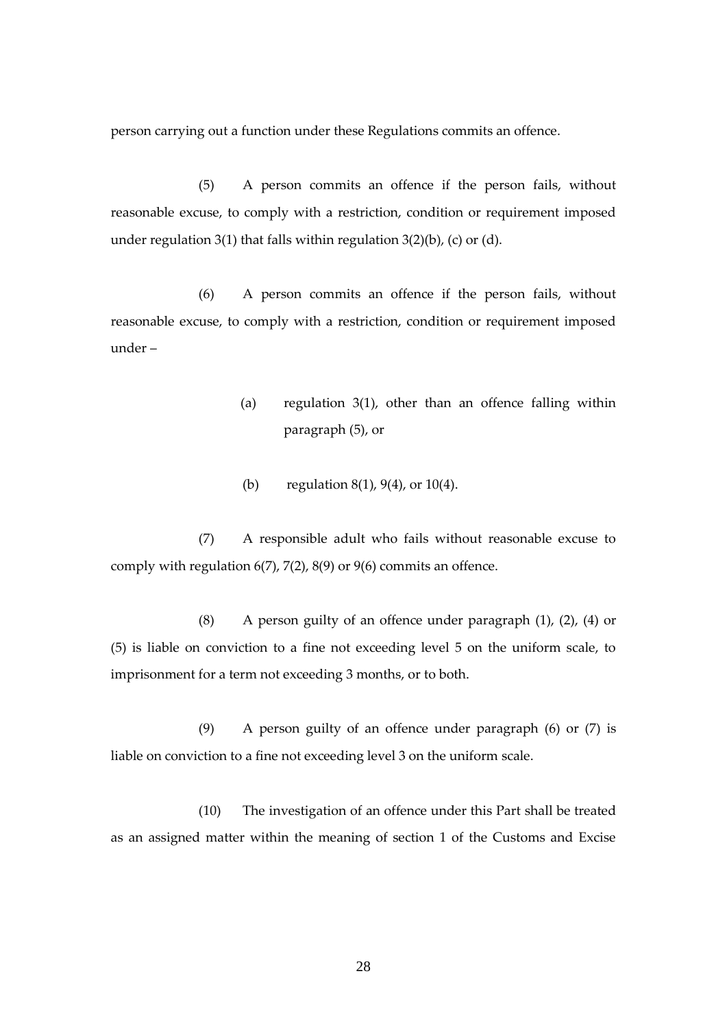person carrying out a function under these Regulations commits an offence.

(5) A person commits an offence if the person fails, without reasonable excuse, to comply with a restriction, condition or requirement imposed under regulation 3(1) that falls within regulation  $3(2)(b)$ , (c) or (d).

(6) A person commits an offence if the person fails, without reasonable excuse, to comply with a restriction, condition or requirement imposed under –

- (a) regulation 3(1), other than an offence falling within paragraph (5), or
- (b) regulation 8(1), 9(4), or 10(4).

(7) A responsible adult who fails without reasonable excuse to comply with regulation 6(7), 7(2), 8(9) or 9(6) commits an offence.

(8) A person guilty of an offence under paragraph (1), (2), (4) or (5) is liable on conviction to a fine not exceeding level 5 on the uniform scale, to imprisonment for a term not exceeding 3 months, or to both.

(9) A person guilty of an offence under paragraph (6) or (7) is liable on conviction to a fine not exceeding level 3 on the uniform scale.

(10) The investigation of an offence under this Part shall be treated as an assigned matter within the meaning of section 1 of the Customs and Excise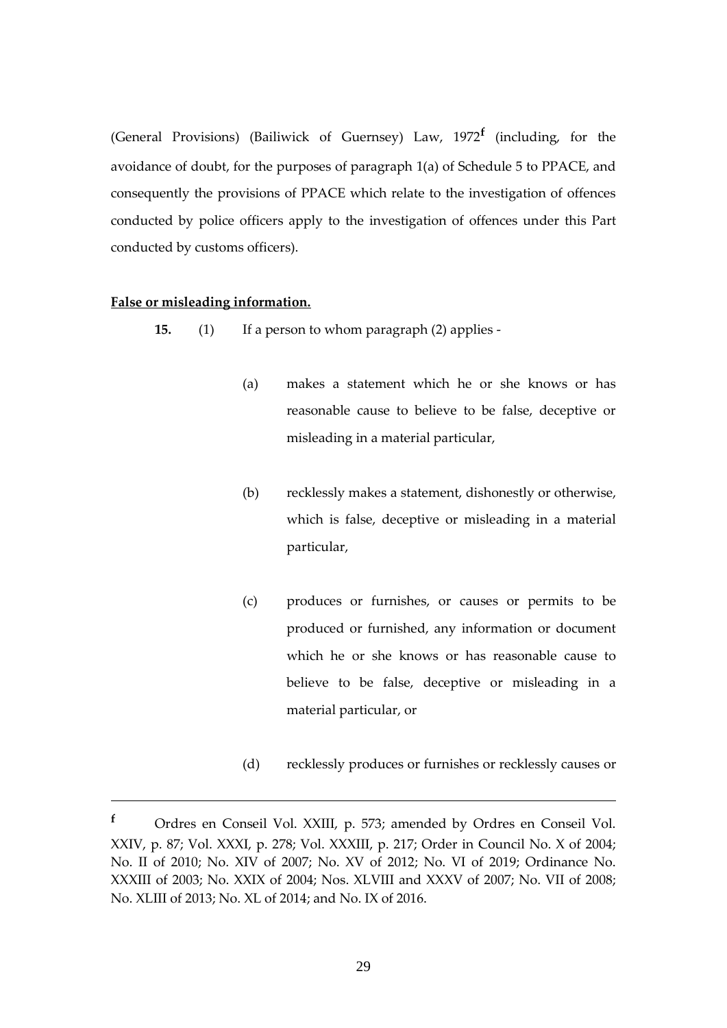(General Provisions) (Bailiwick of Guernsey) Law, 1972**<sup>f</sup>** (including, for the avoidance of doubt, for the purposes of paragraph 1(a) of Schedule 5 to PPACE, and consequently the provisions of PPACE which relate to the investigation of offences conducted by police officers apply to the investigation of offences under this Part conducted by customs officers).

## <span id="page-28-0"></span>**False or misleading information.**

- **15.** (1) If a person to whom paragraph (2) applies
	- (a) makes a statement which he or she knows or has reasonable cause to believe to be false, deceptive or misleading in a material particular,
	- (b) recklessly makes a statement, dishonestly or otherwise, which is false, deceptive or misleading in a material particular,
	- (c) produces or furnishes, or causes or permits to be produced or furnished, any information or document which he or she knows or has reasonable cause to believe to be false, deceptive or misleading in a material particular, or
	- (d) recklessly produces or furnishes or recklessly causes or

**<sup>f</sup>** Ordres en Conseil Vol. XXIII, p. 573; amended by Ordres en Conseil Vol. XXIV, p. 87; Vol. XXXI, p. 278; Vol. XXXIII, p. 217; Order in Council No. X of 2004; No. II of 2010; No. XIV of 2007; No. XV of 2012; No. VI of 2019; Ordinance No. XXXIII of 2003; No. XXIX of 2004; Nos. XLVIII and XXXV of 2007; No. VII of 2008; No. XLIII of 2013; No. XL of 2014; and No. IX of 2016.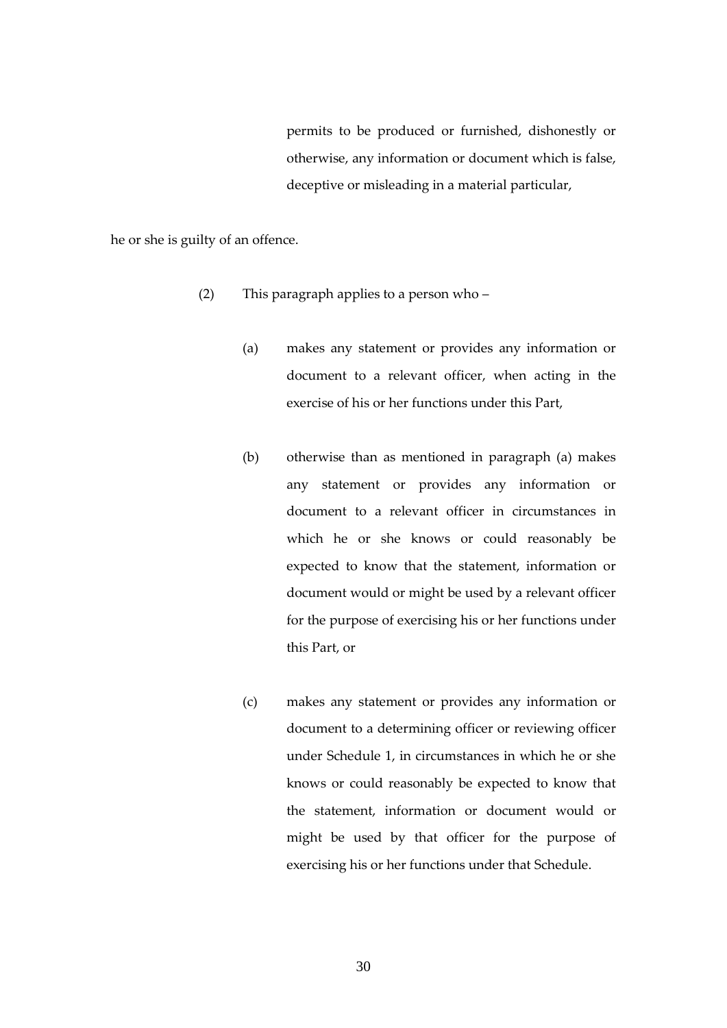permits to be produced or furnished, dishonestly or otherwise, any information or document which is false, deceptive or misleading in a material particular,

he or she is guilty of an offence.

- (2) This paragraph applies to a person who
	- (a) makes any statement or provides any information or document to a relevant officer, when acting in the exercise of his or her functions under this Part,
	- (b) otherwise than as mentioned in paragraph (a) makes any statement or provides any information or document to a relevant officer in circumstances in which he or she knows or could reasonably be expected to know that the statement, information or document would or might be used by a relevant officer for the purpose of exercising his or her functions under this Part, or
	- (c) makes any statement or provides any information or document to a determining officer or reviewing officer under Schedule 1, in circumstances in which he or she knows or could reasonably be expected to know that the statement, information or document would or might be used by that officer for the purpose of exercising his or her functions under that Schedule.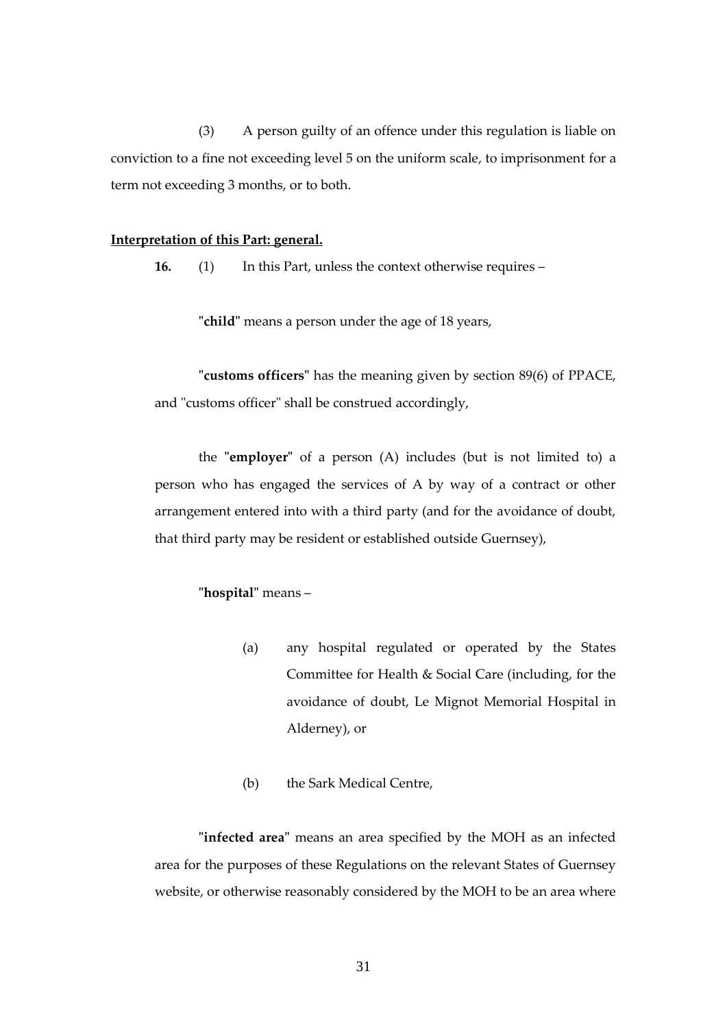(3) A person guilty of an offence under this regulation is liable on conviction to a fine not exceeding level 5 on the uniform scale, to imprisonment for a term not exceeding 3 months, or to both.

#### <span id="page-30-0"></span>**Interpretation of this Part: general.**

**16.** (1) In this Part, unless the context otherwise requires –

**"child"** means a person under the age of 18 years,

**"customs officers"** has the meaning given by section 89(6) of PPACE, and "customs officer" shall be construed accordingly,

the **"employer"** of a person (A) includes (but is not limited to) a person who has engaged the services of A by way of a contract or other arrangement entered into with a third party (and for the avoidance of doubt, that third party may be resident or established outside Guernsey),

# **"hospital"** means –

- (a) any hospital regulated or operated by the States Committee for Health & Social Care (including, for the avoidance of doubt, Le Mignot Memorial Hospital in Alderney), or
- (b) the Sark Medical Centre,

**"infected area"** means an area specified by the MOH as an infected area for the purposes of these Regulations on the relevant States of Guernsey website, or otherwise reasonably considered by the MOH to be an area where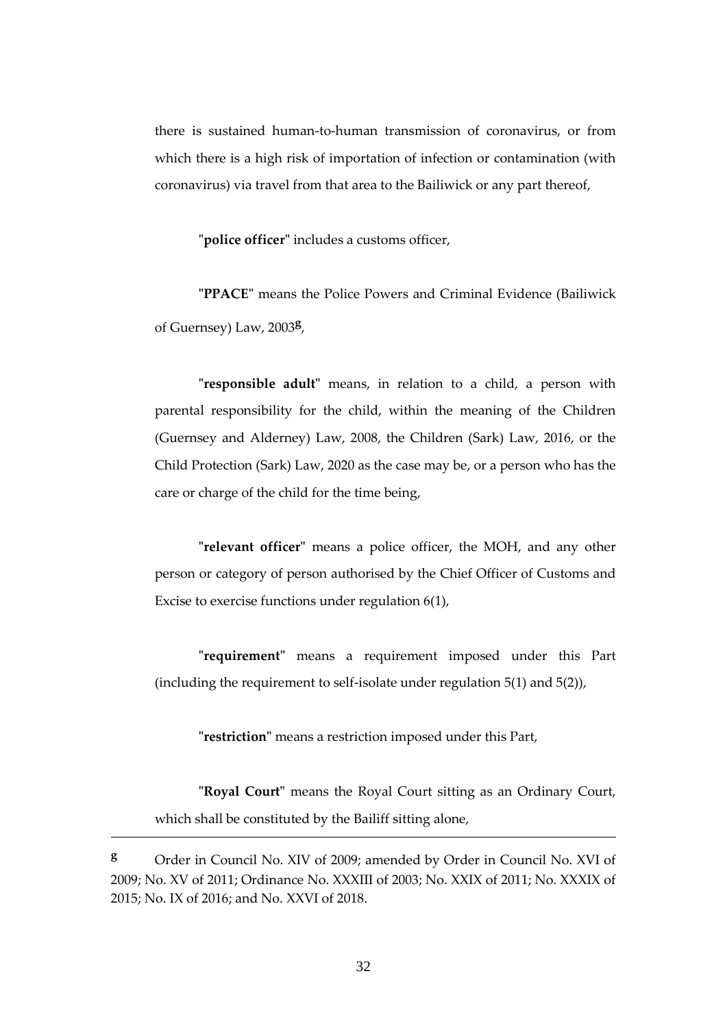there is sustained human-to-human transmission of coronavirus, or from which there is a high risk of importation of infection or contamination (with coronavirus) via travel from that area to the Bailiwick or any part thereof,

**"police officer"** includes a customs officer,

**"PPACE"** means the Police Powers and Criminal Evidence (Bailiwick of Guernsey) Law, 2003**<sup>g</sup>** ,

**"responsible adult"** means, in relation to a child, a person with parental responsibility for the child, within the meaning of the Children (Guernsey and Alderney) Law, 2008, the Children (Sark) Law, 2016, or the Child Protection (Sark) Law, 2020 as the case may be, or a person who has the care or charge of the child for the time being,

**"relevant officer"** means a police officer, the MOH, and any other person or category of person authorised by the Chief Officer of Customs and Excise to exercise functions under regulation 6(1),

**"requirement"** means a requirement imposed under this Part (including the requirement to self-isolate under regulation 5(1) and 5(2)),

**"restriction"** means a restriction imposed under this Part,

**"Royal Court"** means the Royal Court sitting as an Ordinary Court, which shall be constituted by the Bailiff sitting alone,

<u>.</u>

**<sup>g</sup>** Order in Council No. XIV of 2009; amended by Order in Council No. XVI of 2009; No. XV of 2011; Ordinance No. XXXIII of 2003; No. XXIX of 2011; No. XXXIX of 2015; No. IX of 2016; and No. XXVI of 2018.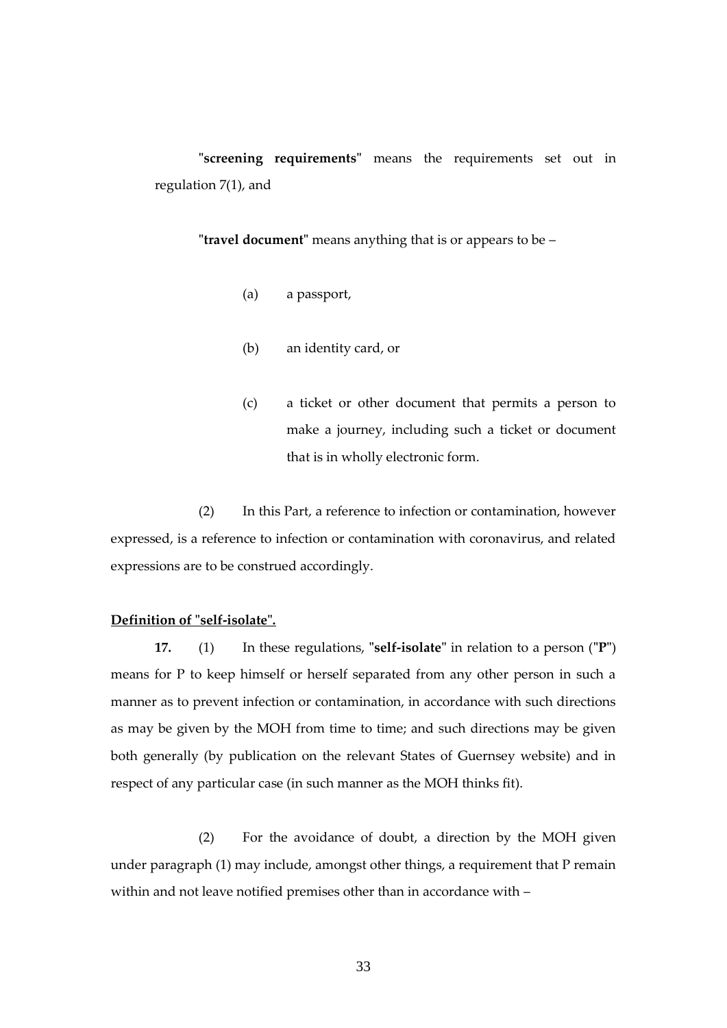**"screening requirements"** means the requirements set out in regulation 7(1), and

**"travel document"** means anything that is or appears to be –

- (a) a passport,
- (b) an identity card, or
- (c) a ticket or other document that permits a person to make a journey, including such a ticket or document that is in wholly electronic form.

(2) In this Part, a reference to infection or contamination, however expressed, is a reference to infection or contamination with coronavirus, and related expressions are to be construed accordingly.

## <span id="page-32-0"></span>**Definition of "self-isolate".**

**17.** (1) In these regulations, **"self-isolate"** in relation to a person (**"P"**) means for P to keep himself or herself separated from any other person in such a manner as to prevent infection or contamination, in accordance with such directions as may be given by the MOH from time to time; and such directions may be given both generally (by publication on the relevant States of Guernsey website) and in respect of any particular case (in such manner as the MOH thinks fit).

(2) For the avoidance of doubt, a direction by the MOH given under paragraph (1) may include, amongst other things, a requirement that P remain within and not leave notified premises other than in accordance with –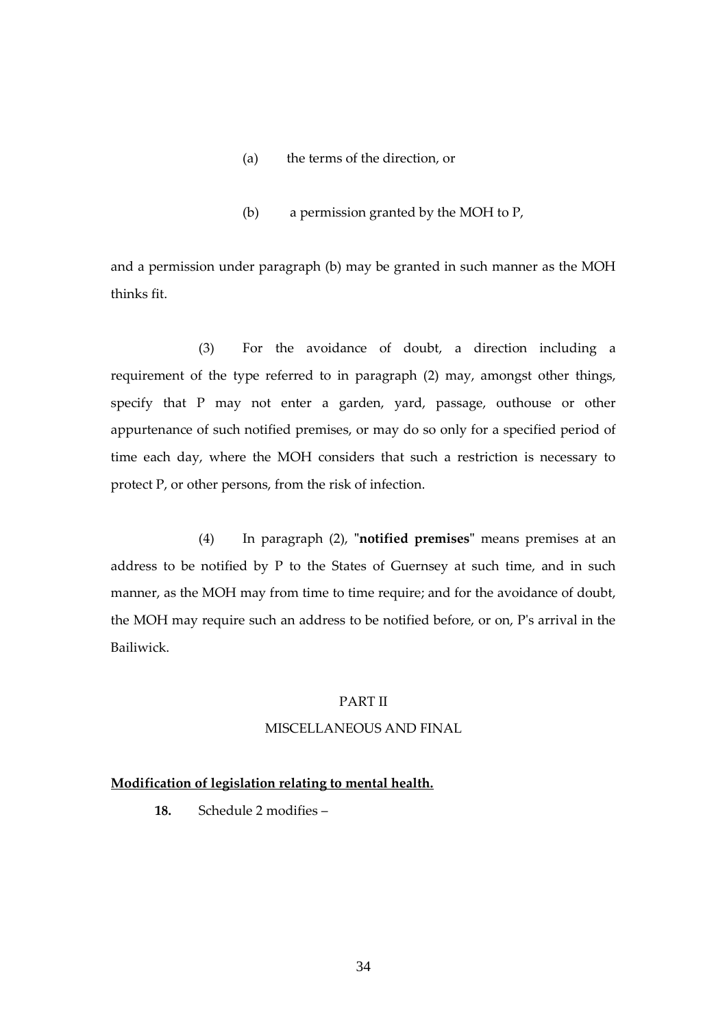- (a) the terms of the direction, or
- (b) a permission granted by the MOH to P,

and a permission under paragraph (b) may be granted in such manner as the MOH thinks fit.

(3) For the avoidance of doubt, a direction including a requirement of the type referred to in paragraph (2) may, amongst other things, specify that P may not enter a garden, yard, passage, outhouse or other appurtenance of such notified premises, or may do so only for a specified period of time each day, where the MOH considers that such a restriction is necessary to protect P, or other persons, from the risk of infection.

<span id="page-33-0"></span>(4) In paragraph (2), **"notified premises"** means premises at an address to be notified by P to the States of Guernsey at such time, and in such manner, as the MOH may from time to time require; and for the avoidance of doubt, the MOH may require such an address to be notified before, or on, P's arrival in the Bailiwick.

## PART II

## MISCELLANEOUS AND FINAL

## **Modification of legislation relating to mental health.**

**18.** Schedule 2 modifies –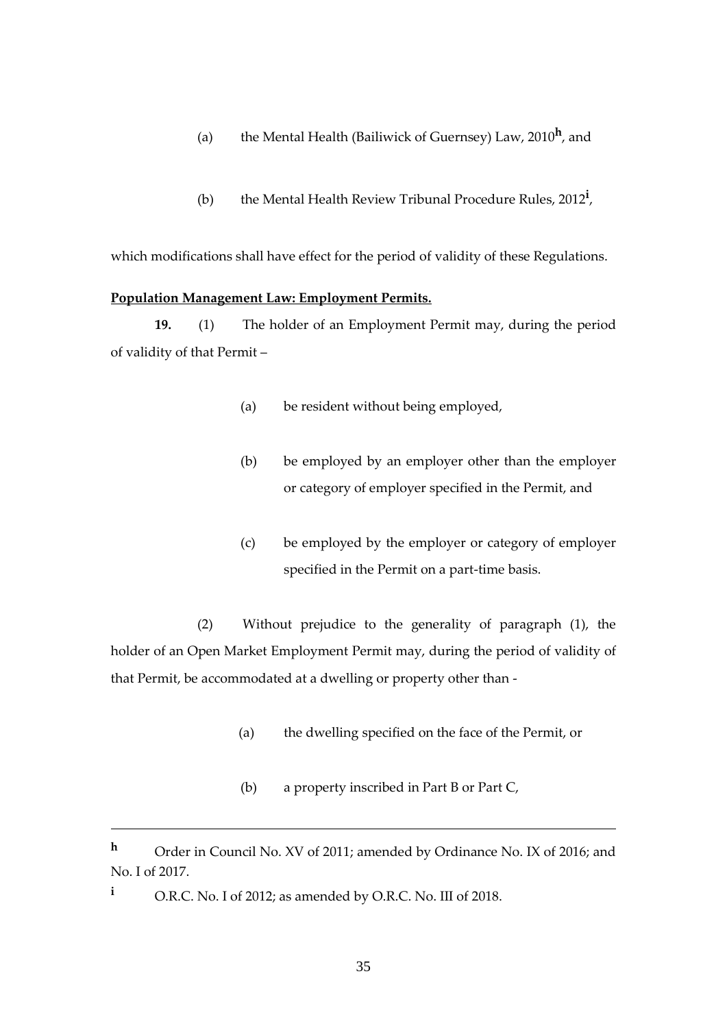- (a) the Mental Health (Bailiwick of Guernsey) Law, 2010**<sup>h</sup>** , and
- (b) the Mental Health Review Tribunal Procedure Rules, 2012**<sup>i</sup>** ,

which modifications shall have effect for the period of validity of these Regulations.

#### **Population Management Law: Employment Permits.**

**19.** (1) The holder of an Employment Permit may, during the period of validity of that Permit –

- (a) be resident without being employed,
- (b) be employed by an employer other than the employer or category of employer specified in the Permit, and
- (c) be employed by the employer or category of employer specified in the Permit on a part-time basis.

(2) Without prejudice to the generality of paragraph (1), the holder of an Open Market Employment Permit may, during the period of validity of that Permit, be accommodated at a dwelling or property other than -

- (a) the dwelling specified on the face of the Permit, or
- (b) a property inscribed in Part B or Part C,

**<sup>h</sup>** Order in Council No. XV of 2011; amended by Ordinance No. IX of 2016; and No. I of 2017.

**<sup>i</sup>** O.R.C. No. I of 2012; as amended by O.R.C. No. III of 2018.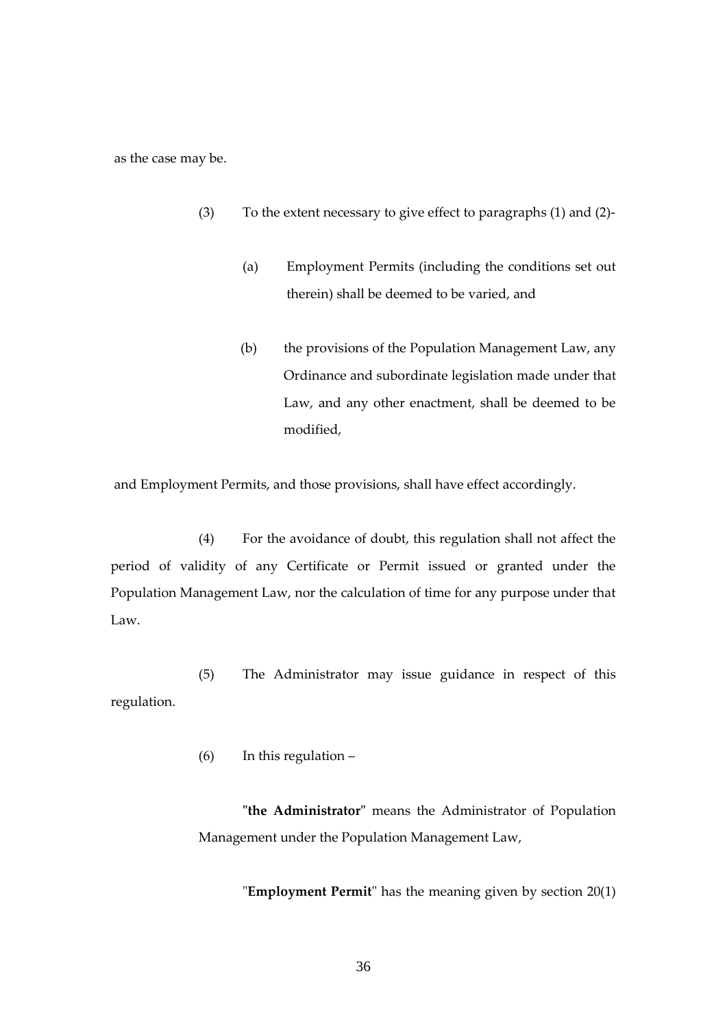as the case may be.

- (3) To the extent necessary to give effect to paragraphs (1) and (2)-
	- (a) Employment Permits (including the conditions set out therein) shall be deemed to be varied, and
	- (b) the provisions of the Population Management Law, any Ordinance and subordinate legislation made under that Law, and any other enactment, shall be deemed to be modified,

and Employment Permits, and those provisions, shall have effect accordingly.

(4) For the avoidance of doubt, this regulation shall not affect the period of validity of any Certificate or Permit issued or granted under the Population Management Law, nor the calculation of time for any purpose under that Law.

(5) The Administrator may issue guidance in respect of this regulation.

(6) In this regulation –

**"the Administrator"** means the Administrator of Population Management under the Population Management Law,

"**Employment Permit**" has the meaning given by section 20(1)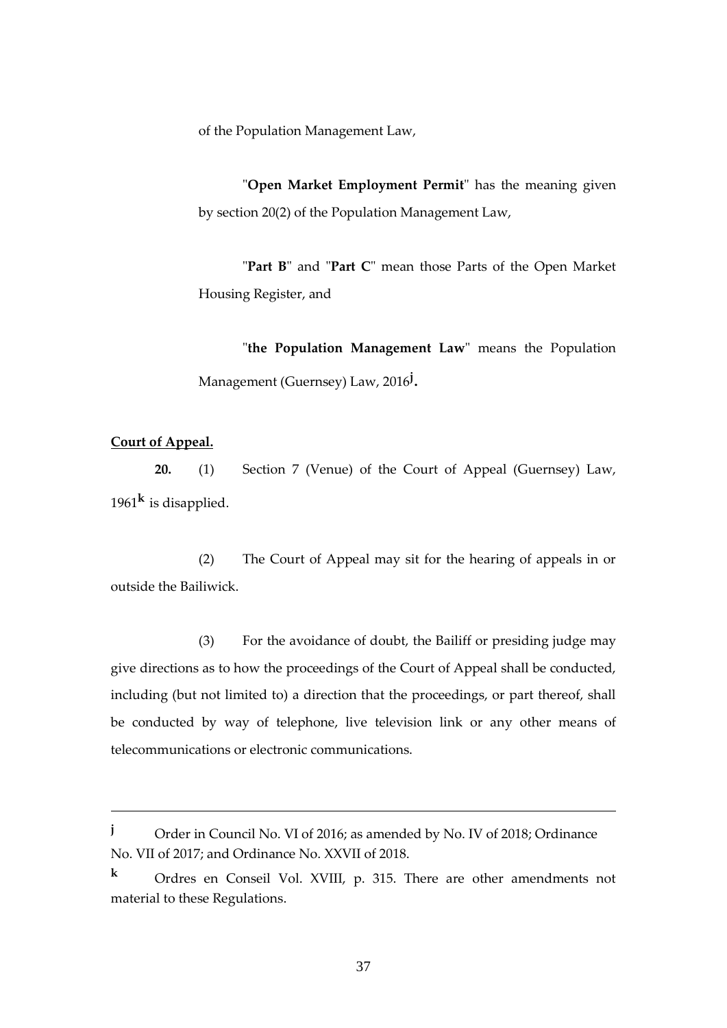of the Population Management Law,

"**Open Market Employment Permit**" has the meaning given by section 20(2) of the Population Management Law,

"**Part B**" and "**Part C**" mean those Parts of the Open Market Housing Register, and

"**the Population Management Law**" means the Population Management (Guernsey) Law, 2016**<sup>j</sup>** .

# <span id="page-36-0"></span>**Court of Appeal.**

1

**20.** (1) Section 7 (Venue) of the Court of Appeal (Guernsey) Law, 1961**<sup>k</sup>** is disapplied.

(2) The Court of Appeal may sit for the hearing of appeals in or outside the Bailiwick.

(3) For the avoidance of doubt, the Bailiff or presiding judge may give directions as to how the proceedings of the Court of Appeal shall be conducted, including (but not limited to) a direction that the proceedings, or part thereof, shall be conducted by way of telephone, live television link or any other means of telecommunications or electronic communications.

**<sup>j</sup>** Order in Council No. VI of 2016; as amended by No. IV of 2018; Ordinance No. VII of 2017; and Ordinance No. XXVII of 2018.

**<sup>k</sup>** Ordres en Conseil Vol. XVIII, p. 315. There are other amendments not material to these Regulations.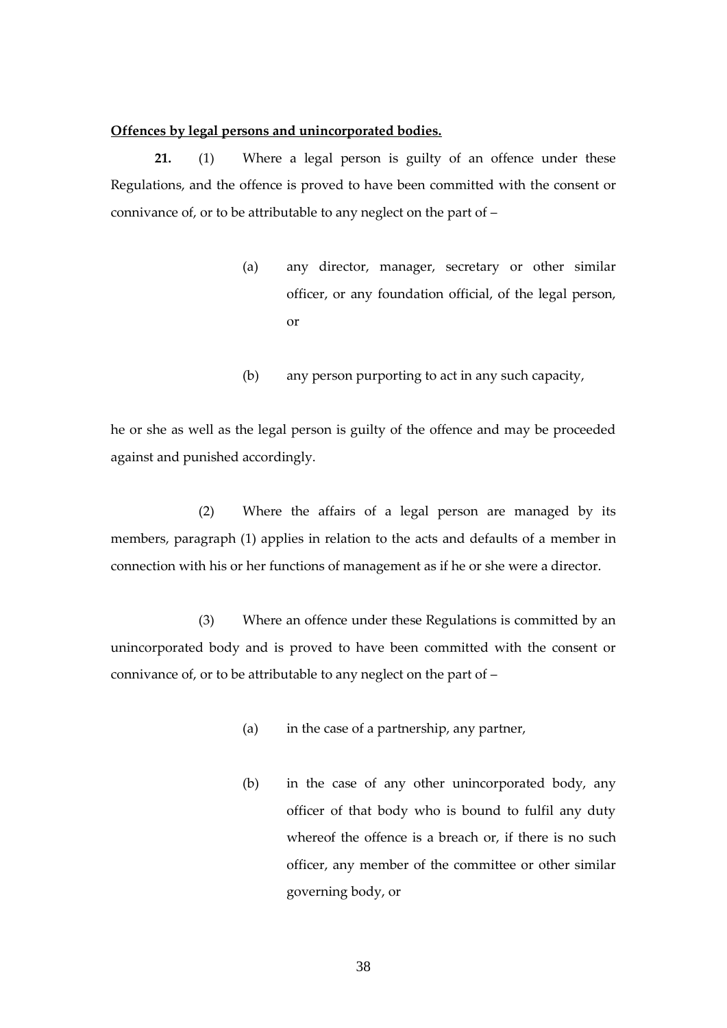#### <span id="page-37-0"></span>**Offences by legal persons and unincorporated bodies.**

**21.** (1) Where a legal person is guilty of an offence under these Regulations, and the offence is proved to have been committed with the consent or connivance of, or to be attributable to any neglect on the part of –

- (a) any director, manager, secretary or other similar officer, or any foundation official, of the legal person, or
- (b) any person purporting to act in any such capacity,

he or she as well as the legal person is guilty of the offence and may be proceeded against and punished accordingly.

(2) Where the affairs of a legal person are managed by its members, paragraph (1) applies in relation to the acts and defaults of a member in connection with his or her functions of management as if he or she were a director.

(3) Where an offence under these Regulations is committed by an unincorporated body and is proved to have been committed with the consent or connivance of, or to be attributable to any neglect on the part of –

- (a) in the case of a partnership, any partner,
- (b) in the case of any other unincorporated body, any officer of that body who is bound to fulfil any duty whereof the offence is a breach or, if there is no such officer, any member of the committee or other similar governing body, or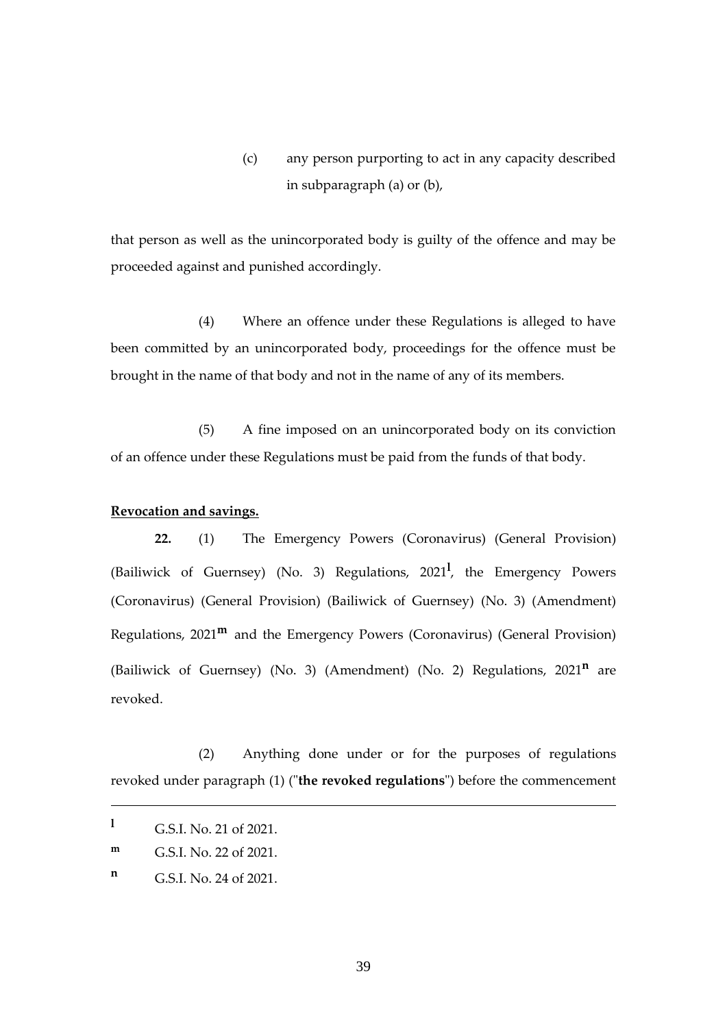(c) any person purporting to act in any capacity described in subparagraph (a) or (b),

that person as well as the unincorporated body is guilty of the offence and may be proceeded against and punished accordingly.

(4) Where an offence under these Regulations is alleged to have been committed by an unincorporated body, proceedings for the offence must be brought in the name of that body and not in the name of any of its members.

(5) A fine imposed on an unincorporated body on its conviction of an offence under these Regulations must be paid from the funds of that body.

#### **Revocation and savings.**

**22.** (1) The Emergency Powers (Coronavirus) (General Provision) (Bailiwick of Guernsey) (No. 3) Regulations, 2021**<sup>l</sup>** , the Emergency Powers (Coronavirus) (General Provision) (Bailiwick of Guernsey) (No. 3) (Amendment) Regulations, 2021**<sup>m</sup>** and the Emergency Powers (Coronavirus) (General Provision) (Bailiwick of Guernsey) (No. 3) (Amendment) (No. 2) Regulations, 2021**<sup>n</sup>** are revoked.

(2) Anything done under or for the purposes of regulations revoked under paragraph (1) ("**the revoked regulations**") before the commencement

1

**<sup>l</sup>** G.S.I. No. 21 of 2021.

**m** G.S.I. No. 22 of 2021.

**<sup>n</sup>** G.S.I. No. 24 of 2021.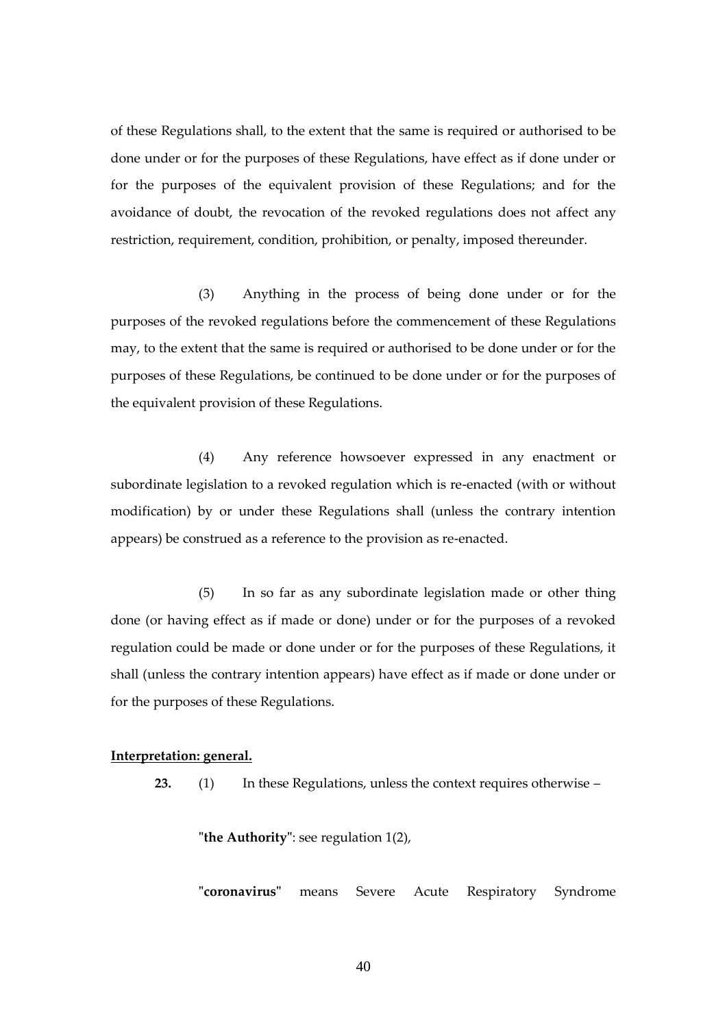of these Regulations shall, to the extent that the same is required or authorised to be done under or for the purposes of these Regulations, have effect as if done under or for the purposes of the equivalent provision of these Regulations; and for the avoidance of doubt, the revocation of the revoked regulations does not affect any restriction, requirement, condition, prohibition, or penalty, imposed thereunder.

(3) Anything in the process of being done under or for the purposes of the revoked regulations before the commencement of these Regulations may, to the extent that the same is required or authorised to be done under or for the purposes of these Regulations, be continued to be done under or for the purposes of the equivalent provision of these Regulations.

(4) Any reference howsoever expressed in any enactment or subordinate legislation to a revoked regulation which is re-enacted (with or without modification) by or under these Regulations shall (unless the contrary intention appears) be construed as a reference to the provision as re-enacted.

(5) In so far as any subordinate legislation made or other thing done (or having effect as if made or done) under or for the purposes of a revoked regulation could be made or done under or for the purposes of these Regulations, it shall (unless the contrary intention appears) have effect as if made or done under or for the purposes of these Regulations.

#### **Interpretation: general.**

**23.** (1) In these Regulations, unless the context requires otherwise –

**"the Authority"**: see regulation 1(2),

**"coronavirus"** means Severe Acute Respiratory Syndrome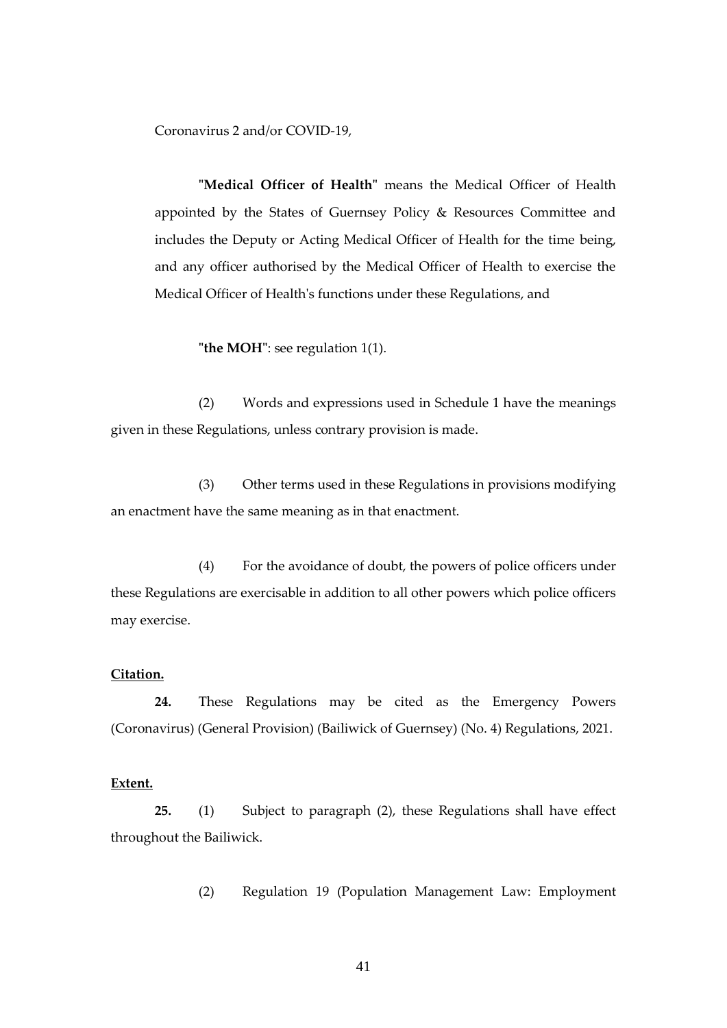Coronavirus 2 and/or COVID-19,

**"Medical Officer of Health"** means the Medical Officer of Health appointed by the States of Guernsey Policy & Resources Committee and includes the Deputy or Acting Medical Officer of Health for the time being, and any officer authorised by the Medical Officer of Health to exercise the Medical Officer of Health's functions under these Regulations, and

**"the MOH"**: see regulation 1(1).

(2) Words and expressions used in Schedule 1 have the meanings given in these Regulations, unless contrary provision is made.

(3) Other terms used in these Regulations in provisions modifying an enactment have the same meaning as in that enactment.

(4) For the avoidance of doubt, the powers of police officers under these Regulations are exercisable in addition to all other powers which police officers may exercise.

## <span id="page-40-0"></span>**Citation.**

**24.** These Regulations may be cited as the Emergency Powers (Coronavirus) (General Provision) (Bailiwick of Guernsey) (No. 4) Regulations, 2021.

#### <span id="page-40-1"></span>**Extent.**

**25.** (1) Subject to paragraph (2), these Regulations shall have effect throughout the Bailiwick.

(2) Regulation 19 (Population Management Law: Employment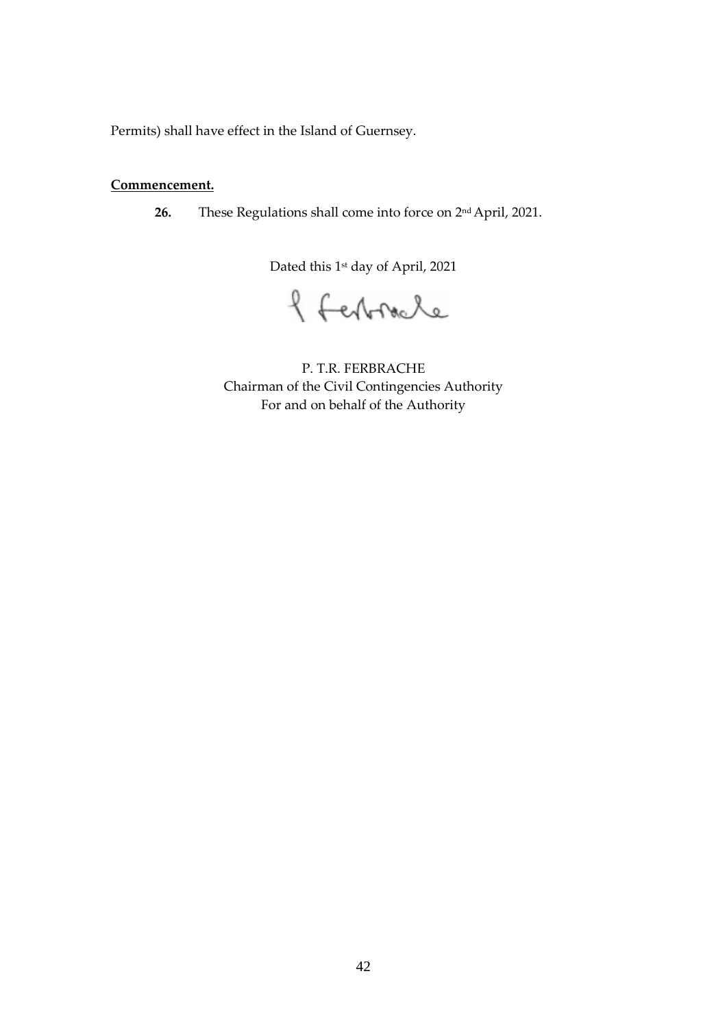<span id="page-41-0"></span>Permits) shall have effect in the Island of Guernsey.

# **Commencement.**

**26.** These Regulations shall come into force on 2 nd April, 2021.

Dated this 1<sup>st</sup> day of April, 2021

f ferbracle

P. T.R. FERBRACHE Chairman of the Civil Contingencies Authority For and on behalf of the Authority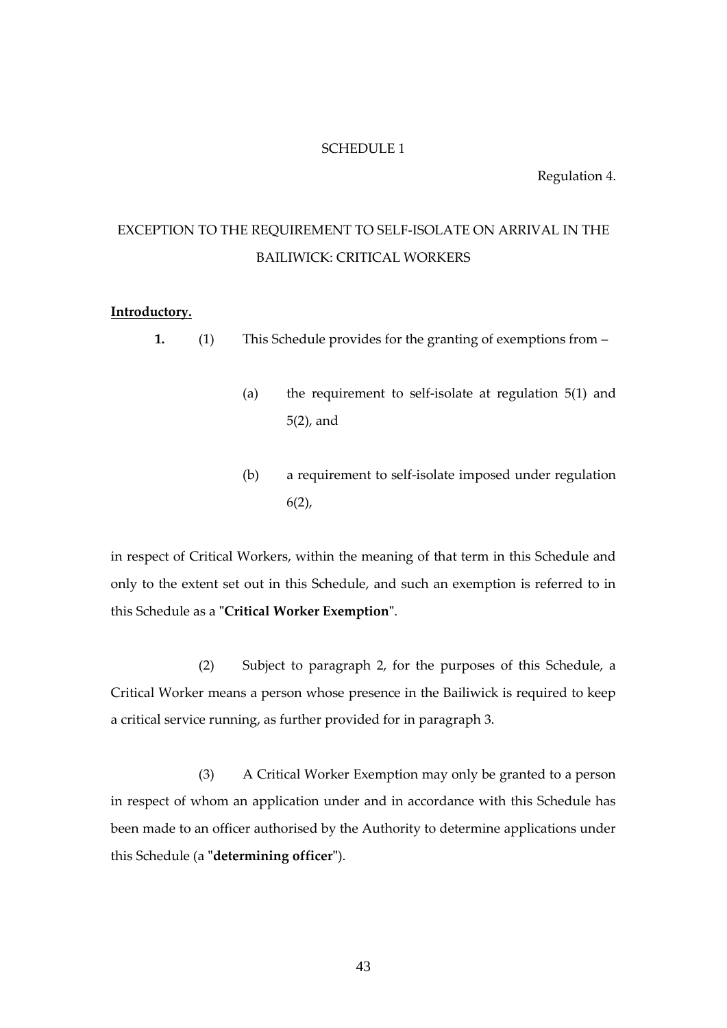#### SCHEDULE 1

Regulation 4.

# EXCEPTION TO THE REQUIREMENT TO SELF-ISOLATE ON ARRIVAL IN THE BAILIWICK: CRITICAL WORKERS

#### **Introductory.**

**1.** (1) This Schedule provides for the granting of exemptions from –

- (a) the requirement to self-isolate at regulation 5(1) and 5(2), and
- (b) a requirement to self-isolate imposed under regulation  $6(2)$ ,

in respect of Critical Workers, within the meaning of that term in this Schedule and only to the extent set out in this Schedule, and such an exemption is referred to in this Schedule as a **"Critical Worker Exemption"**.

(2) Subject to paragraph 2, for the purposes of this Schedule, a Critical Worker means a person whose presence in the Bailiwick is required to keep a critical service running, as further provided for in paragraph 3.

(3) A Critical Worker Exemption may only be granted to a person in respect of whom an application under and in accordance with this Schedule has been made to an officer authorised by the Authority to determine applications under this Schedule (a **"determining officer"**).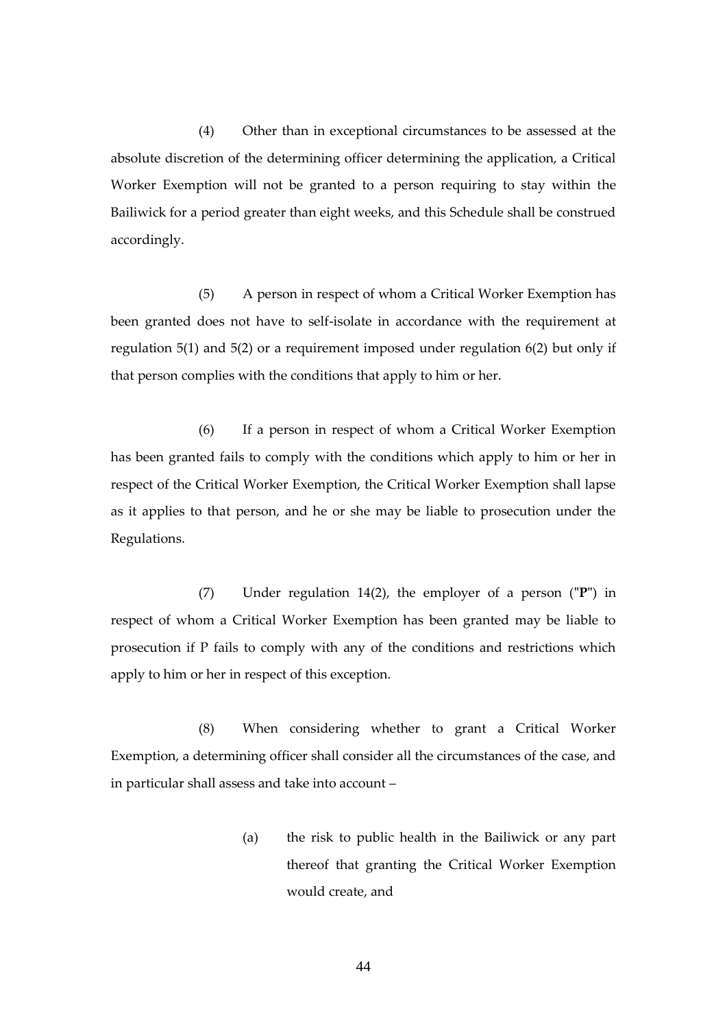(4) Other than in exceptional circumstances to be assessed at the absolute discretion of the determining officer determining the application, a Critical Worker Exemption will not be granted to a person requiring to stay within the Bailiwick for a period greater than eight weeks, and this Schedule shall be construed accordingly.

(5) A person in respect of whom a Critical Worker Exemption has been granted does not have to self-isolate in accordance with the requirement at regulation 5(1) and 5(2) or a requirement imposed under regulation 6(2) but only if that person complies with the conditions that apply to him or her.

(6) If a person in respect of whom a Critical Worker Exemption has been granted fails to comply with the conditions which apply to him or her in respect of the Critical Worker Exemption, the Critical Worker Exemption shall lapse as it applies to that person, and he or she may be liable to prosecution under the Regulations.

(7) Under regulation 14(2), the employer of a person (**"P"**) in respect of whom a Critical Worker Exemption has been granted may be liable to prosecution if P fails to comply with any of the conditions and restrictions which apply to him or her in respect of this exception.

(8) When considering whether to grant a Critical Worker Exemption, a determining officer shall consider all the circumstances of the case, and in particular shall assess and take into account –

> (a) the risk to public health in the Bailiwick or any part thereof that granting the Critical Worker Exemption would create, and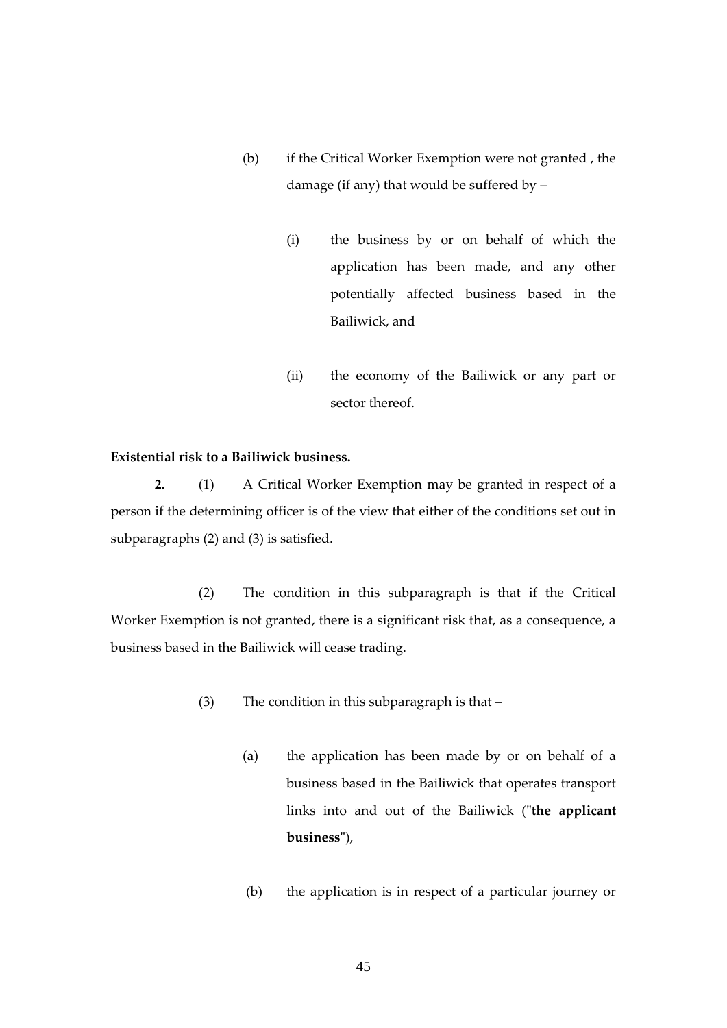- (b) if the Critical Worker Exemption were not granted , the damage (if any) that would be suffered by –
	- (i) the business by or on behalf of which the application has been made, and any other potentially affected business based in the Bailiwick, and
	- (ii) the economy of the Bailiwick or any part or sector thereof.

# **Existential risk to a Bailiwick business.**

**2.** (1) A Critical Worker Exemption may be granted in respect of a person if the determining officer is of the view that either of the conditions set out in subparagraphs (2) and (3) is satisfied.

(2) The condition in this subparagraph is that if the Critical Worker Exemption is not granted, there is a significant risk that, as a consequence, a business based in the Bailiwick will cease trading.

- (3) The condition in this subparagraph is that
	- (a) the application has been made by or on behalf of a business based in the Bailiwick that operates transport links into and out of the Bailiwick (**"the applicant business"**),
	- (b) the application is in respect of a particular journey or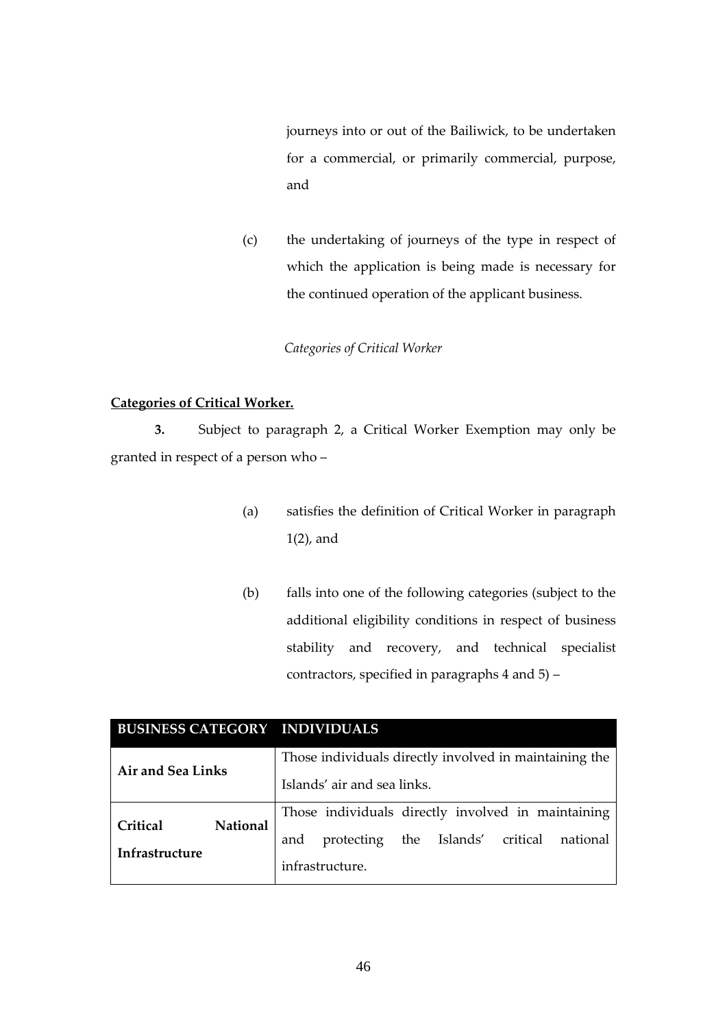journeys into or out of the Bailiwick, to be undertaken for a commercial, or primarily commercial, purpose, and

(c) the undertaking of journeys of the type in respect of which the application is being made is necessary for the continued operation of the applicant business.

*Categories of Critical Worker*

# **Categories of Critical Worker.**

**3.** Subject to paragraph 2, a Critical Worker Exemption may only be granted in respect of a person who –

- (a) satisfies the definition of Critical Worker in paragraph 1(2), and
- (b) falls into one of the following categories (subject to the additional eligibility conditions in respect of business stability and recovery, and technical specialist contractors, specified in paragraphs 4 and 5) –

| <b>BUSINESS CATEGORY INDIVIDUALS</b> |                 |                                                        |                |  |                   |          |
|--------------------------------------|-----------------|--------------------------------------------------------|----------------|--|-------------------|----------|
| Air and Sea Links                    |                 | Those individuals directly involved in maintaining the |                |  |                   |          |
|                                      |                 | Islands' air and sea links.                            |                |  |                   |          |
| Critical                             | <b>National</b> | Those individuals directly involved in maintaining     |                |  |                   |          |
| Infrastructure                       |                 | and                                                    | protecting the |  | Islands' critical | national |
|                                      |                 | infrastructure.                                        |                |  |                   |          |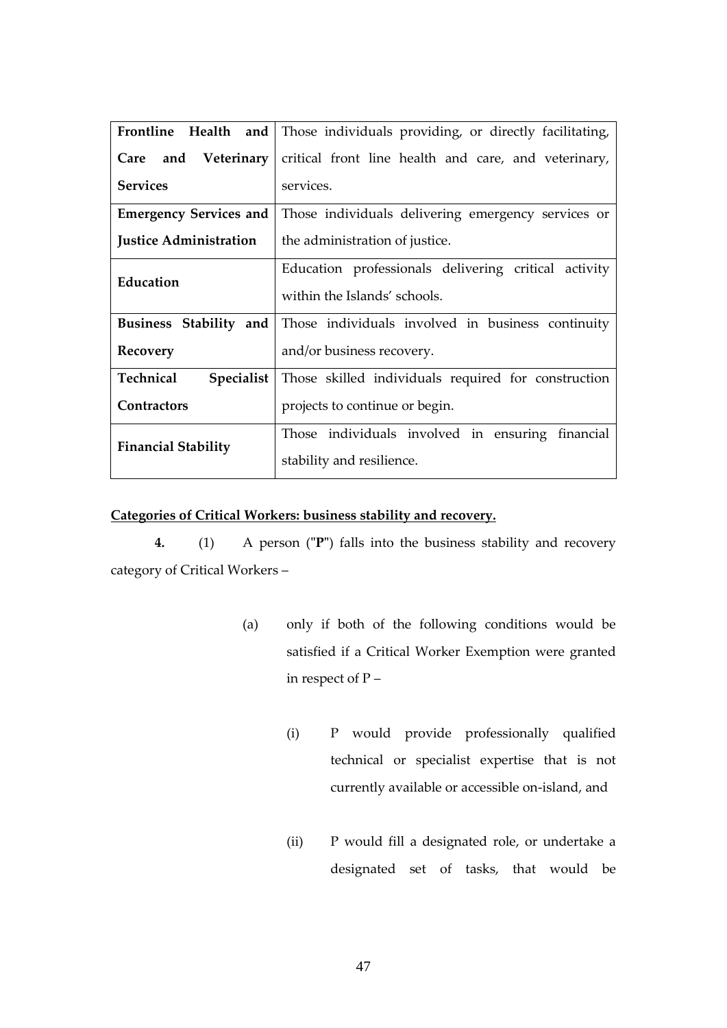|                                | Frontline Health and   Those individuals providing, or directly facilitating, |
|--------------------------------|-------------------------------------------------------------------------------|
| Care and Veterinary            | critical front line health and care, and veterinary,                          |
| <b>Services</b>                | services.                                                                     |
| <b>Emergency Services and</b>  | Those individuals delivering emergency services or                            |
| <b>Justice Administration</b>  | the administration of justice.                                                |
| Education                      | Education professionals delivering critical activity                          |
|                                | within the Islands' schools.                                                  |
| Business Stability and         | Those individuals involved in business continuity                             |
| Recovery                       | and/or business recovery.                                                     |
| Technical<br><b>Specialist</b> | Those skilled individuals required for construction                           |
| <b>Contractors</b>             | projects to continue or begin.                                                |
| <b>Financial Stability</b>     | Those individuals involved in ensuring financial                              |
|                                | stability and resilience.                                                     |

# **Categories of Critical Workers: business stability and recovery.**

**4.** (1) A person (**"P"**) falls into the business stability and recovery category of Critical Workers –

- (a) only if both of the following conditions would be satisfied if a Critical Worker Exemption were granted in respect of P –
	- (i) P would provide professionally qualified technical or specialist expertise that is not currently available or accessible on-island, and
	- (ii) P would fill a designated role, or undertake a designated set of tasks, that would be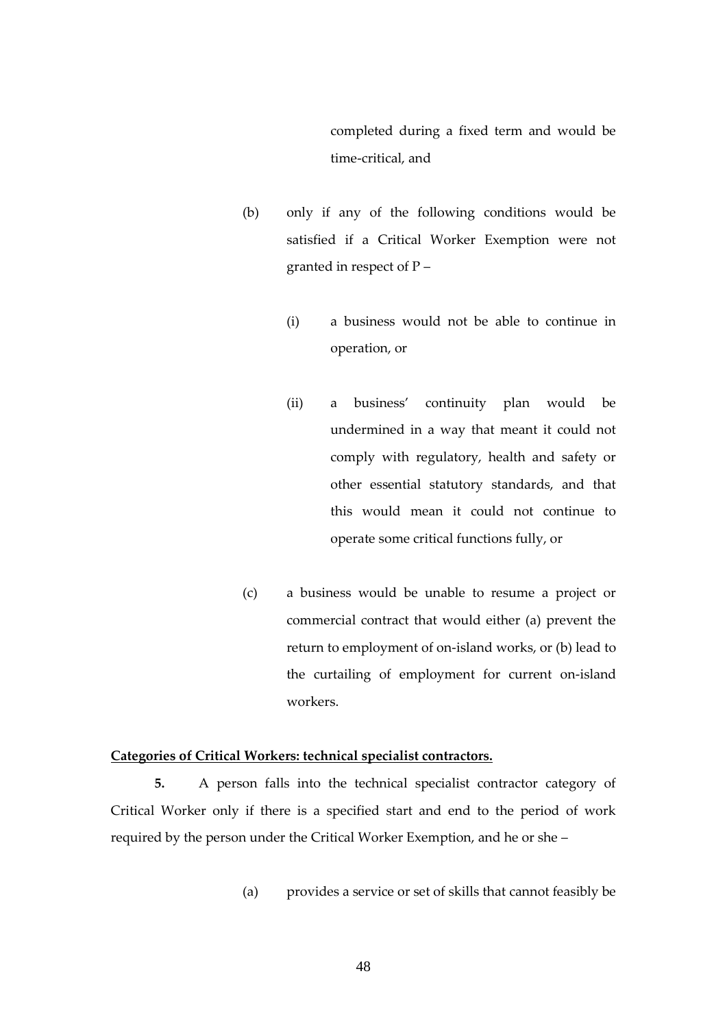completed during a fixed term and would be time-critical, and

- (b) only if any of the following conditions would be satisfied if a Critical Worker Exemption were not granted in respect of P –
	- (i) a business would not be able to continue in operation, or
	- (ii) a business' continuity plan would be undermined in a way that meant it could not comply with regulatory, health and safety or other essential statutory standards, and that this would mean it could not continue to operate some critical functions fully, or
- (c) a business would be unable to resume a project or commercial contract that would either (a) prevent the return to employment of on-island works, or (b) lead to the curtailing of employment for current on-island workers.

### **Categories of Critical Workers: technical specialist contractors.**

**5.** A person falls into the technical specialist contractor category of Critical Worker only if there is a specified start and end to the period of work required by the person under the Critical Worker Exemption, and he or she –

(a) provides a service or set of skills that cannot feasibly be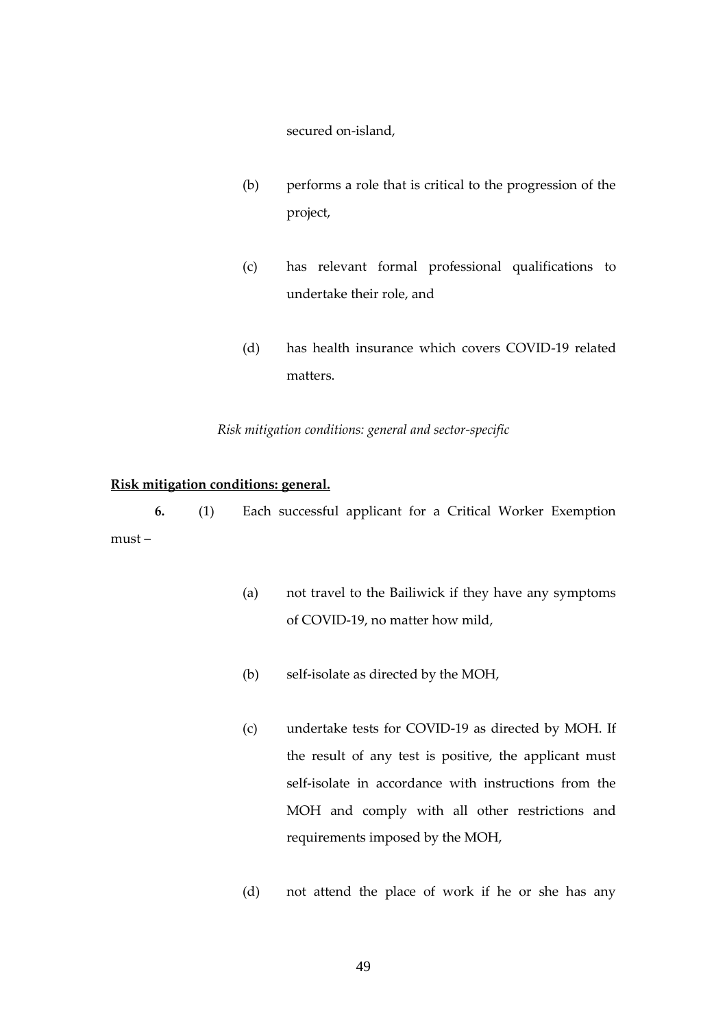secured on-island,

- (b) performs a role that is critical to the progression of the project,
- (c) has relevant formal professional qualifications to undertake their role, and
- (d) has health insurance which covers COVID-19 related matters.

## *Risk mitigation conditions: general and sector-specific*

#### **Risk mitigation conditions: general.**

**6.** (1) Each successful applicant for a Critical Worker Exemption must –

- (a) not travel to the Bailiwick if they have any symptoms of COVID-19, no matter how mild,
- (b) self-isolate as directed by the MOH,
- (c) undertake tests for COVID-19 as directed by MOH. If the result of any test is positive, the applicant must self-isolate in accordance with instructions from the MOH and comply with all other restrictions and requirements imposed by the MOH,
- (d) not attend the place of work if he or she has any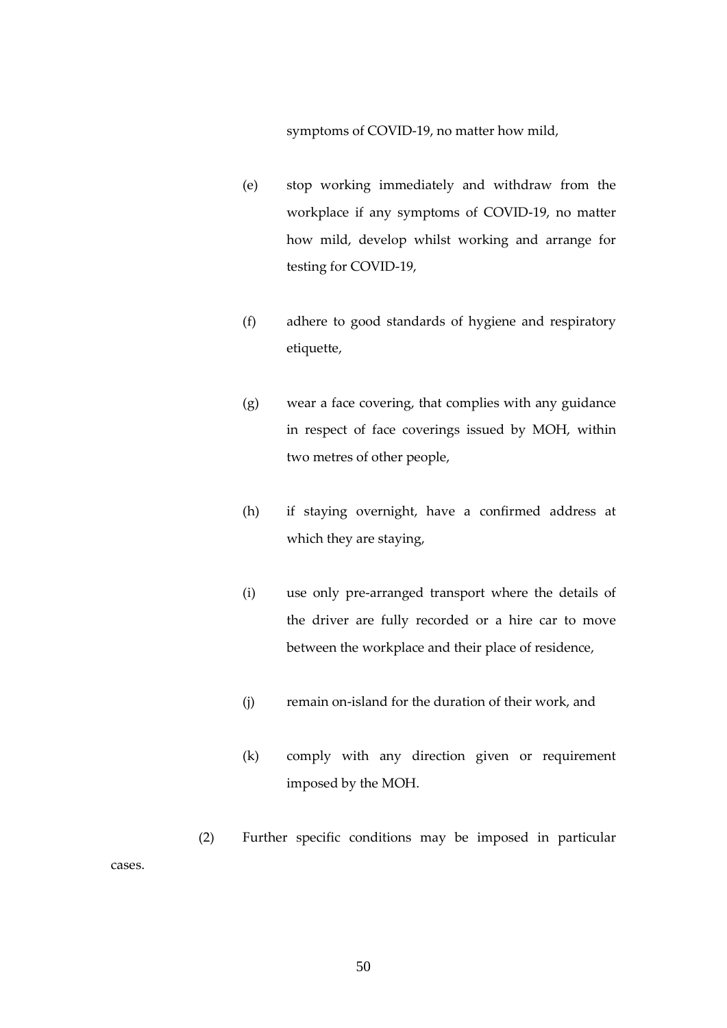symptoms of COVID-19, no matter how mild,

- (e) stop working immediately and withdraw from the workplace if any symptoms of COVID-19, no matter how mild, develop whilst working and arrange for testing for COVID-19,
- (f) adhere to good standards of hygiene and respiratory etiquette,
- (g) wear a face covering, that complies with any guidance in respect of face coverings issued by MOH, within two metres of other people,
- (h) if staying overnight, have a confirmed address at which they are staying,
- (i) use only pre-arranged transport where the details of the driver are fully recorded or a hire car to move between the workplace and their place of residence,
- (j) remain on-island for the duration of their work, and
- (k) comply with any direction given or requirement imposed by the MOH.
- (2) Further specific conditions may be imposed in particular

cases.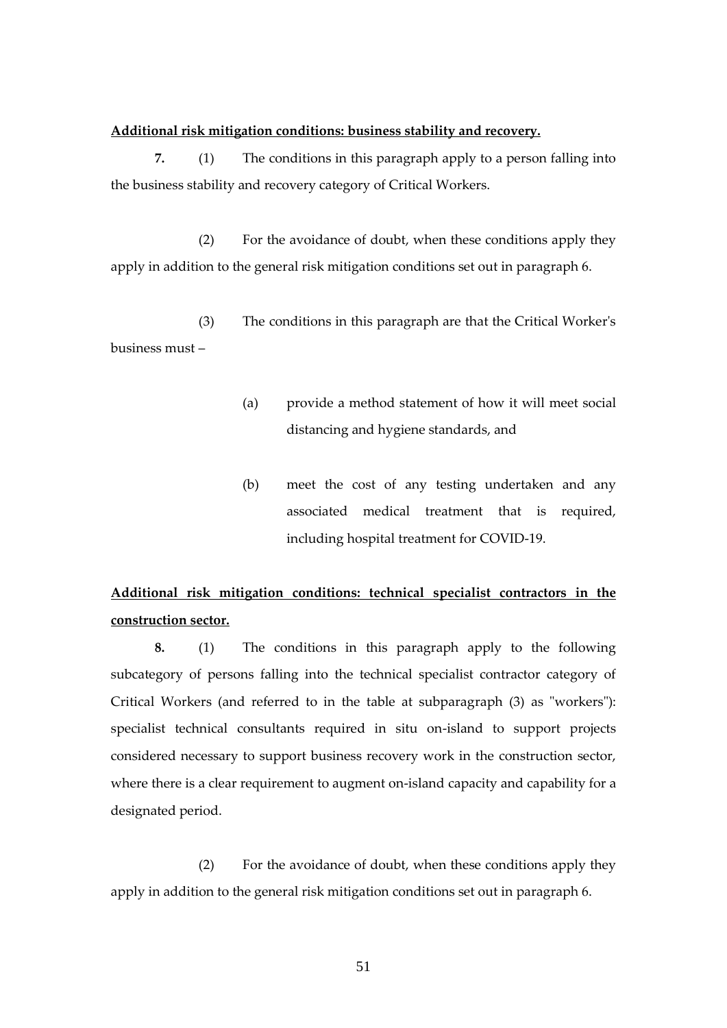#### **Additional risk mitigation conditions: business stability and recovery.**

**7.** (1) The conditions in this paragraph apply to a person falling into the business stability and recovery category of Critical Workers.

(2) For the avoidance of doubt, when these conditions apply they apply in addition to the general risk mitigation conditions set out in paragraph 6.

(3) The conditions in this paragraph are that the Critical Worker's business must –

- (a) provide a method statement of how it will meet social distancing and hygiene standards, and
- (b) meet the cost of any testing undertaken and any associated medical treatment that is required, including hospital treatment for COVID-19.

# **Additional risk mitigation conditions: technical specialist contractors in the construction sector.**

**8.** (1) The conditions in this paragraph apply to the following subcategory of persons falling into the technical specialist contractor category of Critical Workers (and referred to in the table at subparagraph (3) as "workers"): specialist technical consultants required in situ on-island to support projects considered necessary to support business recovery work in the construction sector, where there is a clear requirement to augment on-island capacity and capability for a designated period.

(2) For the avoidance of doubt, when these conditions apply they apply in addition to the general risk mitigation conditions set out in paragraph 6.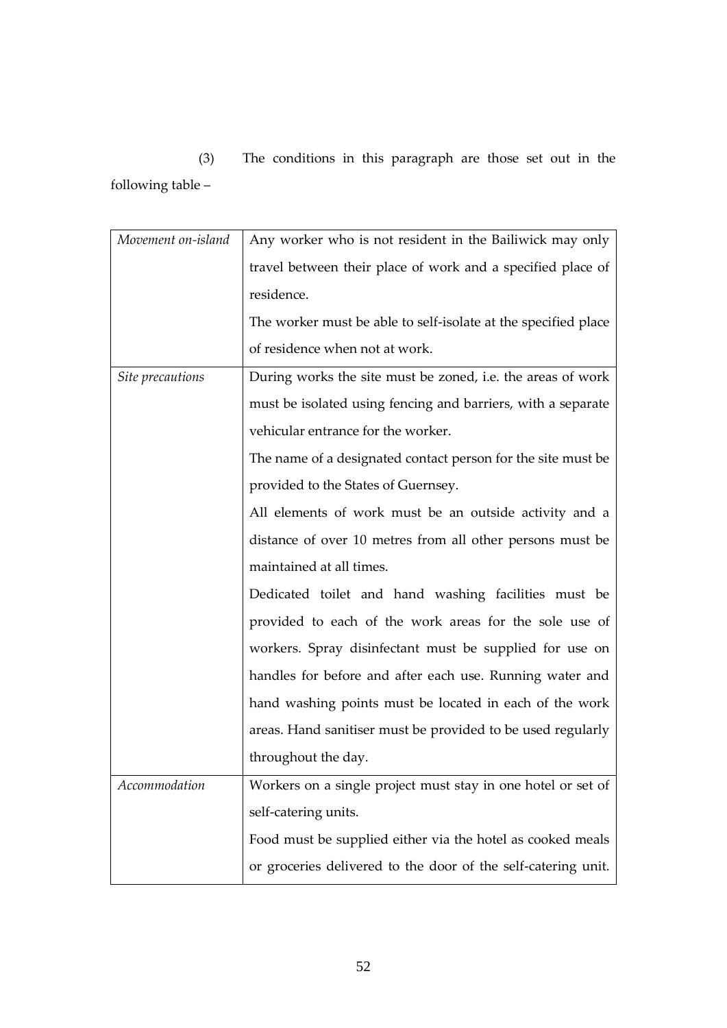(3) The conditions in this paragraph are those set out in the following table –

| Movement on-island | Any worker who is not resident in the Bailiwick may only       |
|--------------------|----------------------------------------------------------------|
|                    | travel between their place of work and a specified place of    |
|                    | residence.                                                     |
|                    | The worker must be able to self-isolate at the specified place |
|                    | of residence when not at work.                                 |
| Site precautions   | During works the site must be zoned, i.e. the areas of work    |
|                    | must be isolated using fencing and barriers, with a separate   |
|                    | vehicular entrance for the worker.                             |
|                    | The name of a designated contact person for the site must be   |
|                    | provided to the States of Guernsey.                            |
|                    | All elements of work must be an outside activity and a         |
|                    | distance of over 10 metres from all other persons must be      |
|                    | maintained at all times.                                       |
|                    | Dedicated toilet and hand washing facilities must be           |
|                    | provided to each of the work areas for the sole use of         |
|                    | workers. Spray disinfectant must be supplied for use on        |
|                    | handles for before and after each use. Running water and       |
|                    | hand washing points must be located in each of the work        |
|                    | areas. Hand sanitiser must be provided to be used regularly    |
|                    | throughout the day.                                            |
| Accommodation      | Workers on a single project must stay in one hotel or set of   |
|                    | self-catering units.                                           |
|                    | Food must be supplied either via the hotel as cooked meals     |
|                    | or groceries delivered to the door of the self-catering unit.  |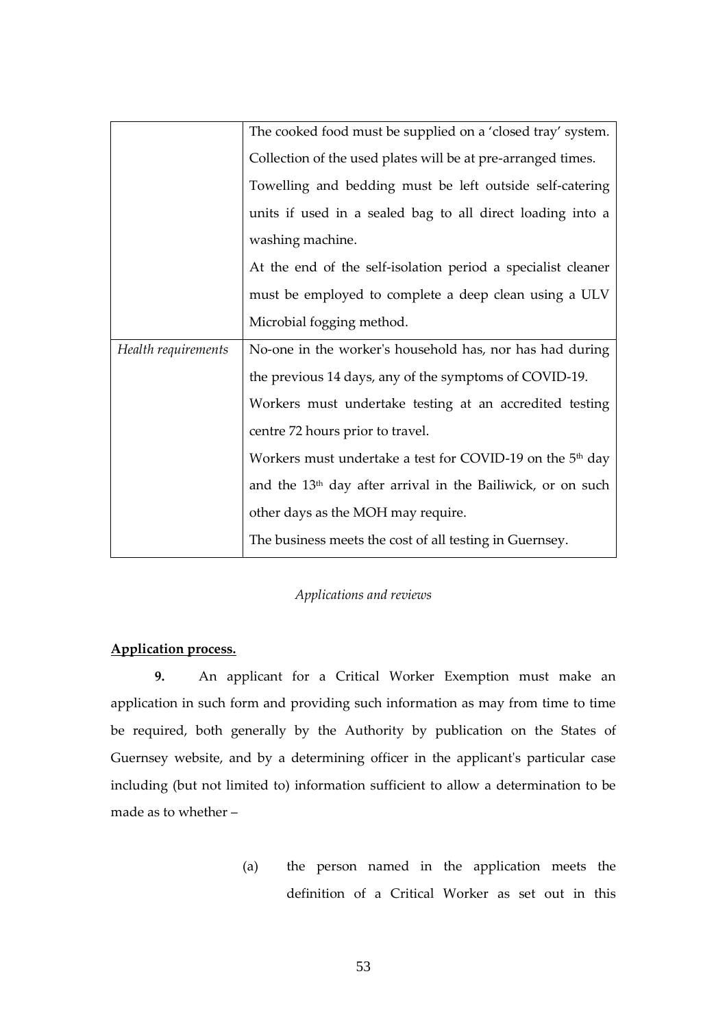|                     | The cooked food must be supplied on a 'closed tray' system.             |
|---------------------|-------------------------------------------------------------------------|
|                     | Collection of the used plates will be at pre-arranged times.            |
|                     | Towelling and bedding must be left outside self-catering                |
|                     | units if used in a sealed bag to all direct loading into a              |
|                     | washing machine.                                                        |
|                     | At the end of the self-isolation period a specialist cleaner            |
|                     | must be employed to complete a deep clean using a ULV                   |
|                     | Microbial fogging method.                                               |
| Health requirements | No-one in the worker's household has, nor has had during                |
|                     |                                                                         |
|                     | the previous 14 days, any of the symptoms of COVID-19.                  |
|                     | Workers must undertake testing at an accredited testing                 |
|                     | centre 72 hours prior to travel.                                        |
|                     | Workers must undertake a test for COVID-19 on the $5th$ day             |
|                     | and the 13 <sup>th</sup> day after arrival in the Bailiwick, or on such |
|                     | other days as the MOH may require.                                      |

# *Applications and reviews*

# **Application process.**

**9.** An applicant for a Critical Worker Exemption must make an application in such form and providing such information as may from time to time be required, both generally by the Authority by publication on the States of Guernsey website, and by a determining officer in the applicant's particular case including (but not limited to) information sufficient to allow a determination to be made as to whether –

> (a) the person named in the application meets the definition of a Critical Worker as set out in this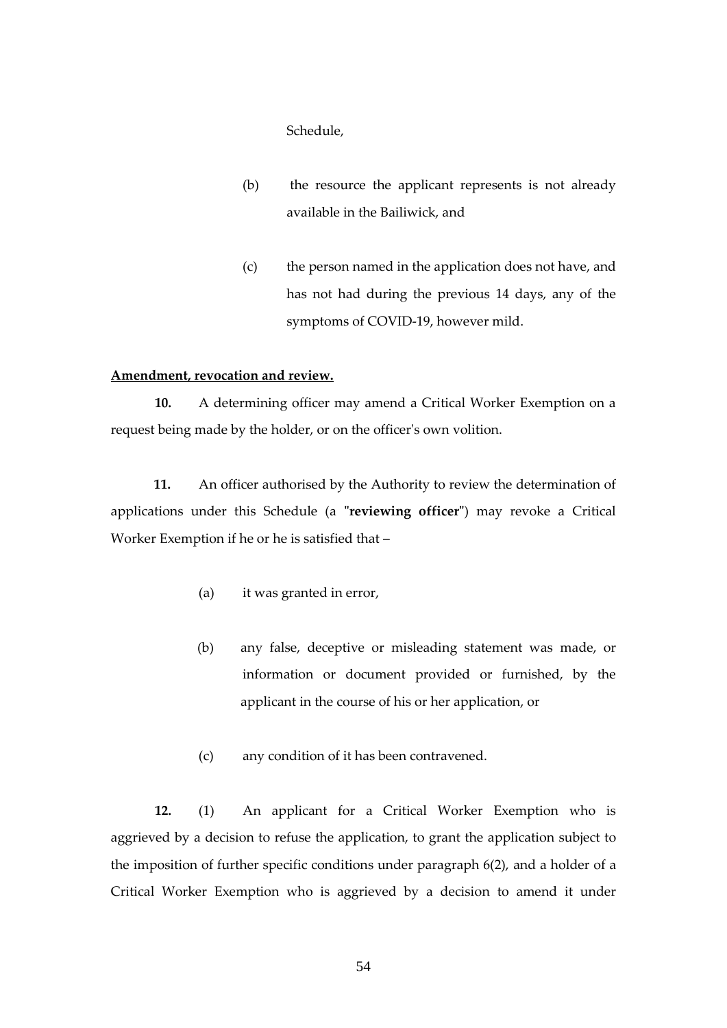Schedule,

- (b) the resource the applicant represents is not already available in the Bailiwick, and
- (c) the person named in the application does not have, and has not had during the previous 14 days, any of the symptoms of COVID-19, however mild.

#### **Amendment, revocation and review.**

**10.** A determining officer may amend a Critical Worker Exemption on a request being made by the holder, or on the officer's own volition.

**11.** An officer authorised by the Authority to review the determination of applications under this Schedule (a **"reviewing officer"**) may revoke a Critical Worker Exemption if he or he is satisfied that –

- (a) it was granted in error,
- (b) any false, deceptive or misleading statement was made, or information or document provided or furnished, by the applicant in the course of his or her application, or
- (c) any condition of it has been contravened.

**12.** (1) An applicant for a Critical Worker Exemption who is aggrieved by a decision to refuse the application, to grant the application subject to the imposition of further specific conditions under paragraph 6(2), and a holder of a Critical Worker Exemption who is aggrieved by a decision to amend it under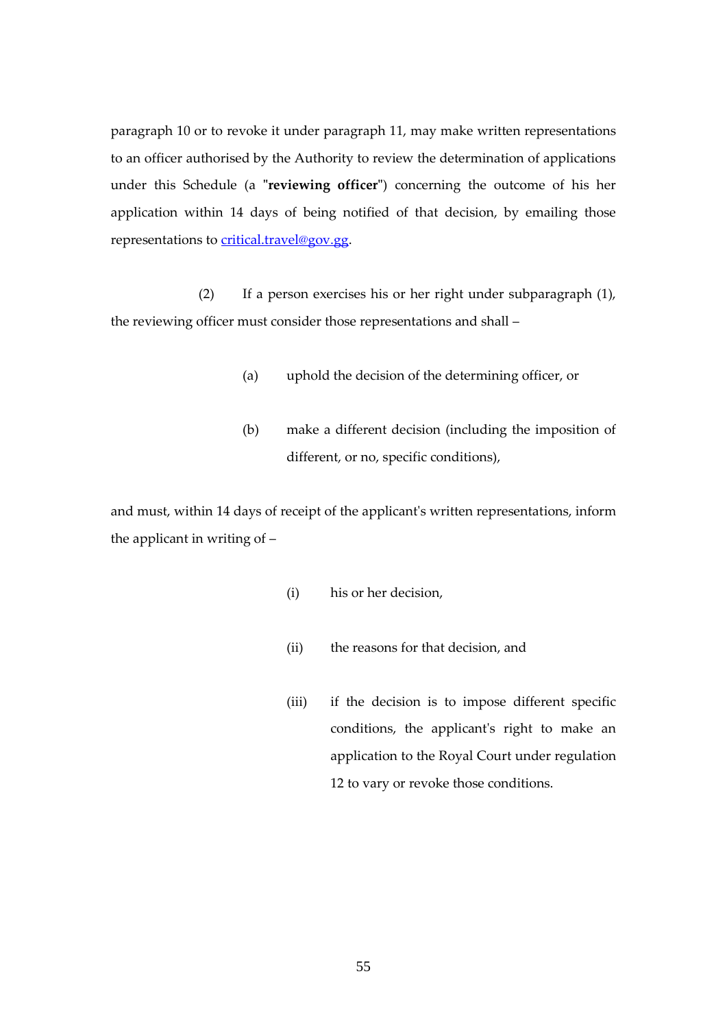paragraph 10 or to revoke it under paragraph 11, may make written representations to an officer authorised by the Authority to review the determination of applications under this Schedule (a **"reviewing officer"**) concerning the outcome of his her application within 14 days of being notified of that decision, by emailing those representations to [critical.travel@gov.gg.](mailto:critical.travel@gov.gg)

(2) If a person exercises his or her right under subparagraph (1), the reviewing officer must consider those representations and shall –

- (a) uphold the decision of the determining officer, or
- (b) make a different decision (including the imposition of different, or no, specific conditions),

and must, within 14 days of receipt of the applicant's written representations, inform the applicant in writing of –

- (i) his or her decision,
- (ii) the reasons for that decision, and
- (iii) if the decision is to impose different specific conditions, the applicant's right to make an application to the Royal Court under regulation 12 to vary or revoke those conditions.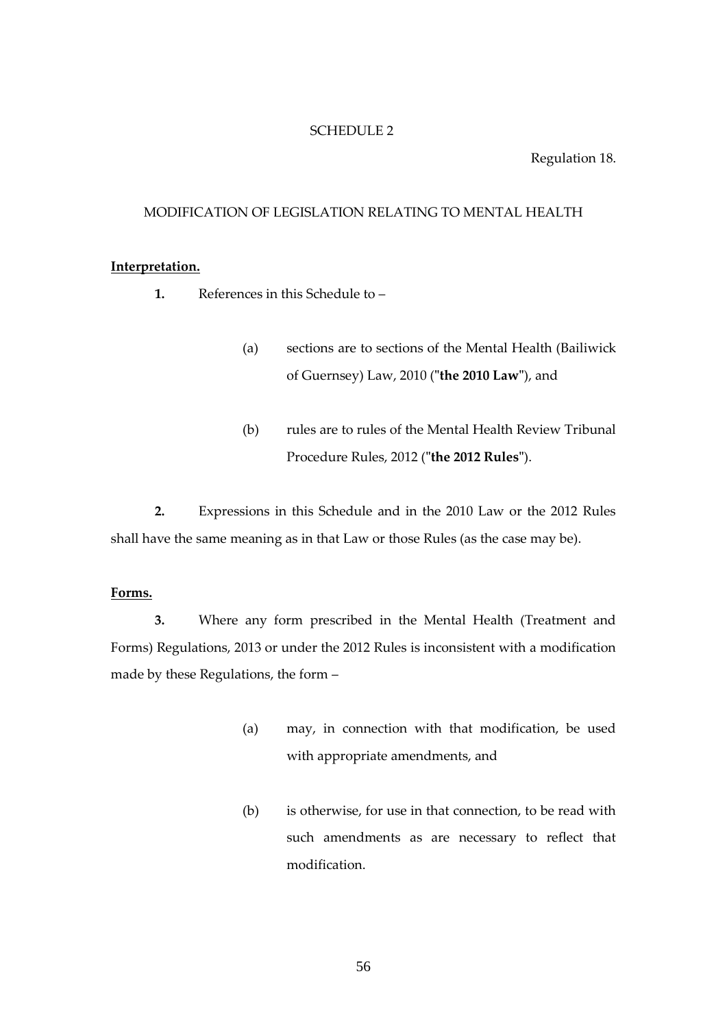#### <span id="page-55-0"></span>SCHEDULE 2

#### Regulation 18.

## MODIFICATION OF LEGISLATION RELATING TO MENTAL HEALTH

#### **Interpretation.**

- **1.** References in this Schedule to
	- (a) sections are to sections of the Mental Health (Bailiwick of Guernsey) Law, 2010 (**"the 2010 Law"**), and
	- (b) rules are to rules of the Mental Health Review Tribunal Procedure Rules, 2012 (**"the 2012 Rules"**).

**2.** Expressions in this Schedule and in the 2010 Law or the 2012 Rules shall have the same meaning as in that Law or those Rules (as the case may be).

## **Forms.**

**3.** Where any form prescribed in the Mental Health (Treatment and Forms) Regulations, 2013 or under the 2012 Rules is inconsistent with a modification made by these Regulations, the form –

- (a) may, in connection with that modification, be used with appropriate amendments, and
- (b) is otherwise, for use in that connection, to be read with such amendments as are necessary to reflect that modification.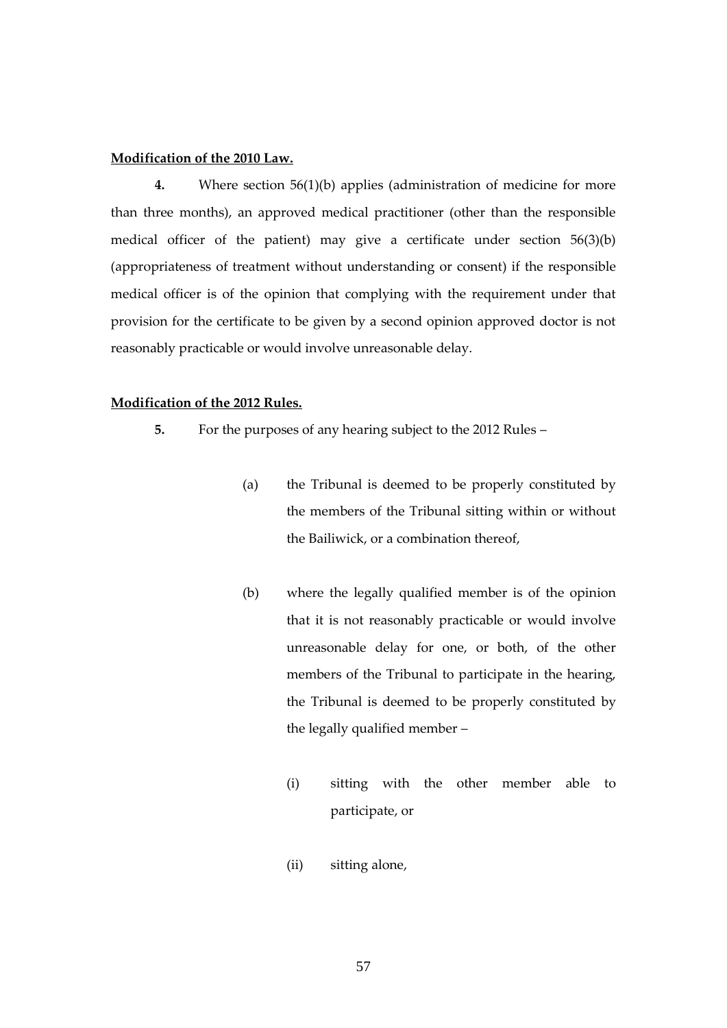#### **Modification of the 2010 Law.**

**4.** Where section 56(1)(b) applies (administration of medicine for more than three months), an approved medical practitioner (other than the responsible medical officer of the patient) may give a certificate under section 56(3)(b) (appropriateness of treatment without understanding or consent) if the responsible medical officer is of the opinion that complying with the requirement under that provision for the certificate to be given by a second opinion approved doctor is not reasonably practicable or would involve unreasonable delay.

#### **Modification of the 2012 Rules.**

- **5.** For the purposes of any hearing subject to the 2012 Rules
	- (a) the Tribunal is deemed to be properly constituted by the members of the Tribunal sitting within or without the Bailiwick, or a combination thereof,
	- (b) where the legally qualified member is of the opinion that it is not reasonably practicable or would involve unreasonable delay for one, or both, of the other members of the Tribunal to participate in the hearing, the Tribunal is deemed to be properly constituted by the legally qualified member –
		- (i) sitting with the other member able to participate, or
		- (ii) sitting alone,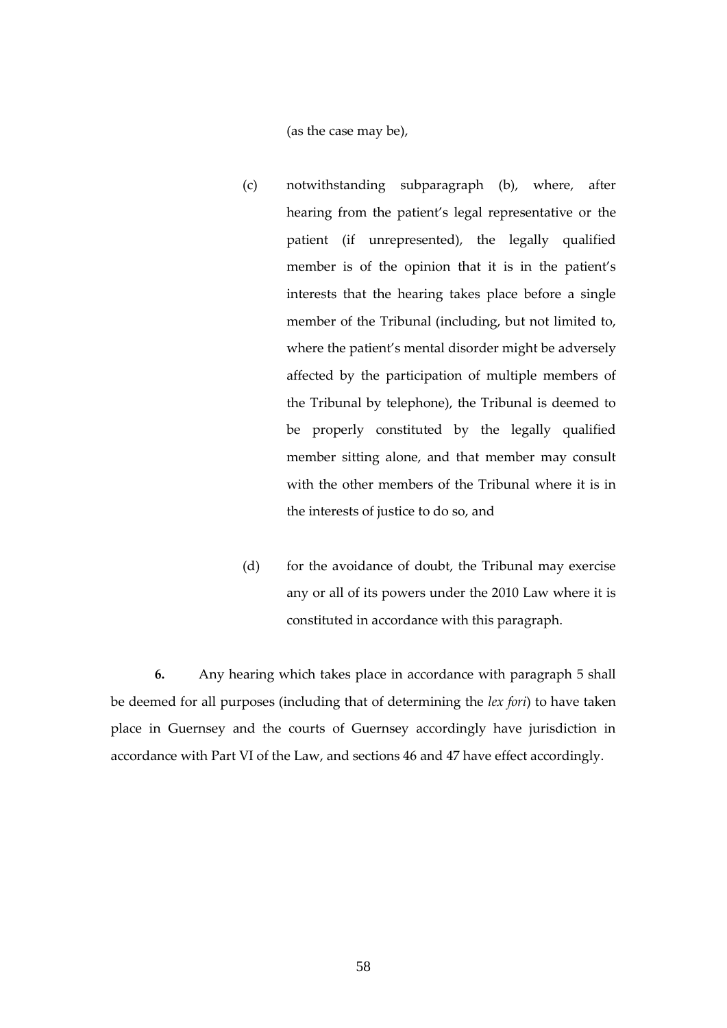(as the case may be),

- (c) notwithstanding subparagraph (b), where, after hearing from the patient's legal representative or the patient (if unrepresented), the legally qualified member is of the opinion that it is in the patient's interests that the hearing takes place before a single member of the Tribunal (including, but not limited to, where the patient's mental disorder might be adversely affected by the participation of multiple members of the Tribunal by telephone), the Tribunal is deemed to be properly constituted by the legally qualified member sitting alone, and that member may consult with the other members of the Tribunal where it is in the interests of justice to do so, and
- (d) for the avoidance of doubt, the Tribunal may exercise any or all of its powers under the 2010 Law where it is constituted in accordance with this paragraph.

**6.** Any hearing which takes place in accordance with paragraph 5 shall be deemed for all purposes (including that of determining the *lex fori*) to have taken place in Guernsey and the courts of Guernsey accordingly have jurisdiction in accordance with Part VI of the Law, and sections 46 and 47 have effect accordingly.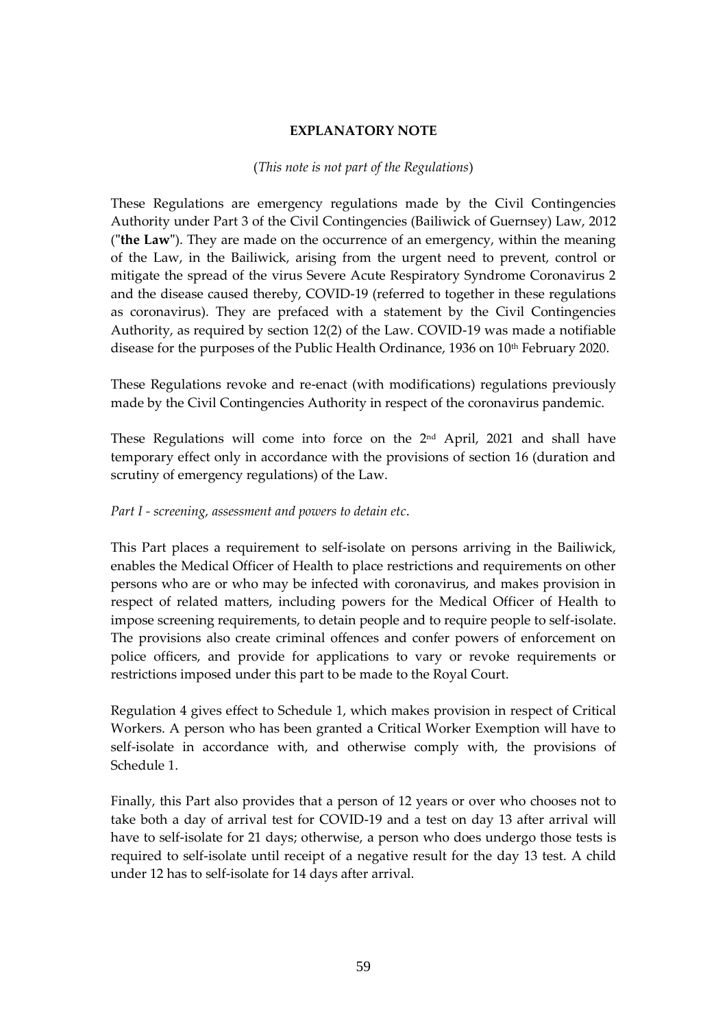# **EXPLANATORY NOTE**

# (*This note is not part of the Regulations*)

<span id="page-58-0"></span>These Regulations are emergency regulations made by the Civil Contingencies Authority under Part 3 of the Civil Contingencies (Bailiwick of Guernsey) Law, 2012 (**"the Law"**). They are made on the occurrence of an emergency, within the meaning of the Law, in the Bailiwick, arising from the urgent need to prevent, control or mitigate the spread of the virus Severe Acute Respiratory Syndrome Coronavirus 2 and the disease caused thereby, COVID-19 (referred to together in these regulations as coronavirus). They are prefaced with a statement by the Civil Contingencies Authority, as required by section 12(2) of the Law. COVID-19 was made a notifiable disease for the purposes of the Public Health Ordinance, 1936 on 10th February 2020.

These Regulations revoke and re-enact (with modifications) regulations previously made by the Civil Contingencies Authority in respect of the coronavirus pandemic.

These Regulations will come into force on the  $2<sup>nd</sup>$  April, 2021 and shall have temporary effect only in accordance with the provisions of section 16 (duration and scrutiny of emergency regulations) of the Law.

# *Part I - screening, assessment and powers to detain etc*.

This Part places a requirement to self-isolate on persons arriving in the Bailiwick, enables the Medical Officer of Health to place restrictions and requirements on other persons who are or who may be infected with coronavirus, and makes provision in respect of related matters, including powers for the Medical Officer of Health to impose screening requirements, to detain people and to require people to self-isolate. The provisions also create criminal offences and confer powers of enforcement on police officers, and provide for applications to vary or revoke requirements or restrictions imposed under this part to be made to the Royal Court.

Regulation 4 gives effect to Schedule 1, which makes provision in respect of Critical Workers. A person who has been granted a Critical Worker Exemption will have to self-isolate in accordance with, and otherwise comply with, the provisions of Schedule 1.

Finally, this Part also provides that a person of 12 years or over who chooses not to take both a day of arrival test for COVID-19 and a test on day 13 after arrival will have to self-isolate for 21 days; otherwise, a person who does undergo those tests is required to self-isolate until receipt of a negative result for the day 13 test. A child under 12 has to self-isolate for 14 days after arrival.